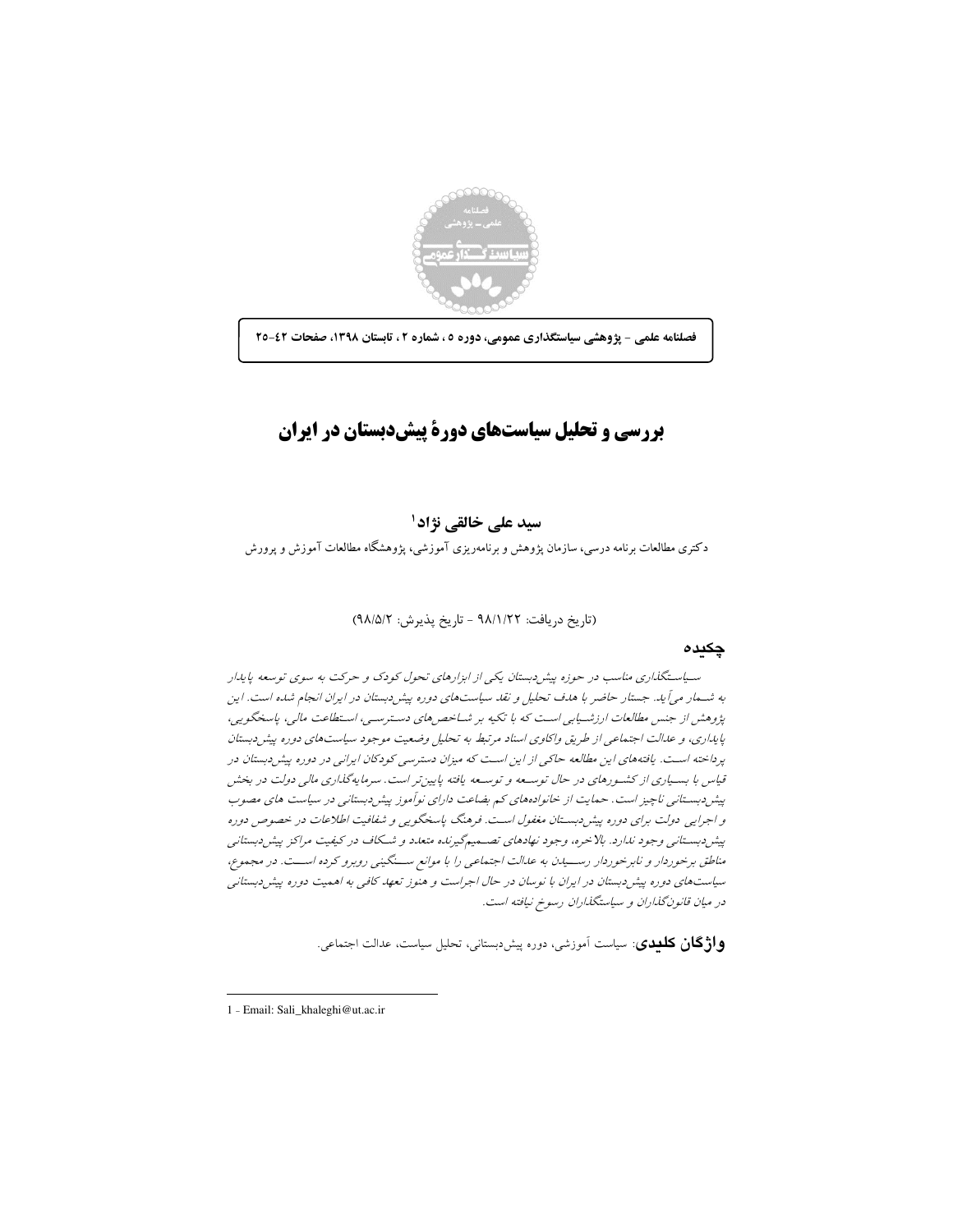

فصلنامه علمی - پژوهشی سیاستگذاری عمومی، دوره ٥ ، شماره ٢ ، تابستان ١٣٩٨، صفحات ٤٢-٢٥

# بررسی و تحلیل سیاستهای دورهٔ پیشدبستان در ایران

# سید علے خالقے نژاد<sup>ا</sup>

دکتری مطالعات برنامه درسی، سازمان پژوهش و برنامهریزی آموزشی، پژوهشگاه مطالعات آموزش و پرورش

### (تاريخ دريافت: ٩٨/١/٢٢ - تاريخ پذيرش: ٩٨/۵/٢)

### چکیدہ

سـیاسـتگذاری مناسب در حوزه پیشردبستان یکی از ابزارهای تحول کودک و حرکت به سوی توسعه پایدار به شـمار میآید. جستار حاضر با هدف تحلیل و نقد سیاستهای دوره پیش دبستان در ایران انجام شده است. این یژوهش از جنس مطالعات ارزشیابی است که با تکیه بر شباخص های دسترسبی، استطاعت مالی، پاسخگویهی، پایداری، و عدالت اجتماعی از طریق واکاوی اسناد مرتبط به تحلیل وضعیت موجود سیاست های دوره پیش دبستان یر داخته است. یافته های این مطالعه حاکی از این است که میزان دسترسی کودکان ایرانی در دوره پیش دبستان در قیاس با بسیاری از کشورهای در حال توسعه و توسعه یافته پایین تر است. سرمایهگذاری مالی دولت در بخش پیش دبستانی ناچیز است. حمایت از خانوادههای کم بضاعت دارای نوآموز پیش دبستانی در سیاست های مصوب و اجرایی دولت برای دوره پیش دبستان مغفول است. فرهنگ پاسخگویی و شفافیت اطلاعات در خصوص دوره پیش دبستانی وجود ندارد. بالاخره، وجود نهادهای تصـمیمگیرنده متعدد و شـکاف در کیفیت مراکز پیش دبستانی مناطق برخوردار و نابرخوردار رســيدن به عدالت اجتماعي را با موانع ســنگيني روبرو كرده اســت. در مجموع، سیاستهای دوره پیش دبستان در ایران با نوسان در حال اجراست و هنوز تعهد کافی به اهمیت دوره پیش دبستانی در ميان قانون گذاران و سياستگذاران رسوخ نيافته است.

**واژگان کلیدی**: سیاست آموزشی، دوره پیشدبستانی، تحلیل سیاست، عدالت اجتماعی.

<sup>1 -</sup> Email: Sali\_khaleghi@ut.ac.ir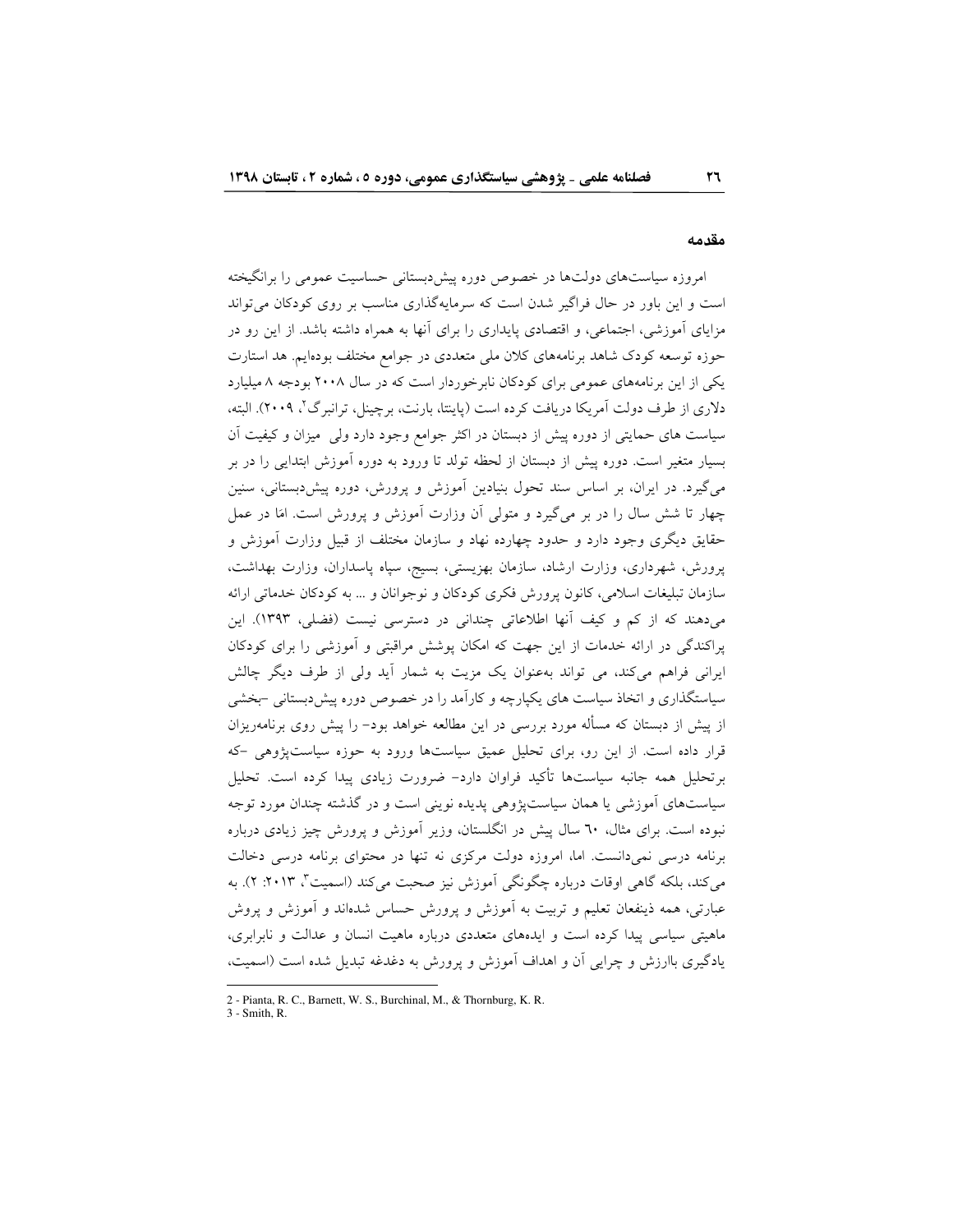#### مقدمه

امروزه سیاستهای دولتها در خصوص دوره پیش دبستانی حساسیت عمومی را برانگیخته است و این باور در حال فراگیر شدن است که سرمایهگذاری مناسب بر روی کودکان می تواند مزایای آموزشی، اجتماعی، و اقتصادی پایداری را برای آنها به همراه داشته باشد. از این رو در حوزه توسعه کودک شاهد برنامههای کلان ملی متعددی در جوامع مختلف بودهایم. هد استارت یکی از این برنامههای عمومی برای کودکان نابرخوردار است که در سال ۲۰۰۸ بودجه ۸ میلیارد دلاری از طرف دولت اَمریکا دریافت کرده است (پاینتا، بارنت، برچینل، ترانبرگ'، ۲۰۰۹). البته، سیاست های حمایتی از دوره پیش از دبستان در اکثر جوامع وجود دارد ولی میزان و کیفیت آن بسیار متغیر است. دوره پیش از دبستان از لحظه تولد تا ورود به دوره آموزش ابتدایی را در بر می گیرد. در ایران، بر اساس سند تحول بنیادین آموزش و پرورش، دوره پیشدبستانی، سنین چهار تا شش سال را در بر میگیرد و متولی آن وزارت اَموزش و پرورش است. امَا در عمل حقایق دیگری وجود دارد و حدود چهارده نهاد و سازمان مختلف از قبیل وزارت آموزش و پرورش، شهرداری، وزارت ارشاد، سازمان بهزیستی، بسیج، سپاه پاسداران، وزارت بهداشت، سازمان تبليغات اسلامي، كانون يرورش فكرى كودكان و نوجوانان و … به كودكان خدماتي ارائه می دهند که از کم و کیف آنها اطلاعاتی چندانی در دسترسی نیست (فضلی، ۱۳۹۳). این پراکندگی در ارائه خدمات از این جهت که امکان پوشش مراقبتی و آموزشی را برای کودکان ایرانی فراهم میکند، می تواند بهعنوان یک مزیت به شمار آید ولی از طرف دیگر چالش سیاستگذاری و اتخاذ سیاست های یکپارچه و کارآمد را در خصوص دوره پیش دبستانی –بخشی از پیش از دبستان که مسأله مورد بررسی در این مطالعه خواهد بود– را پیش روی برنامهریزان قرار داده است. از این رو، برای تحلیل عمیق سیاستها ورود به حوزه سیاستپژوهی -که برتحلیل همه جانبه سیاستها تأکید فراوان دارد– ضرورت زیادی پیدا کرده است. تحلیل سیاستهای اَموزشی یا همان سیاستپژوهی پدیده نوینی است و در گذشته چندان مورد توجه نبوده است. برای مثال، ٦٠ سال پیش در انگلستان، وزیر آموزش و پرورش چیز زیادی درباره برنامه درسی نمی دانست. اما، امروزه دولت مرکزی نه تنها در محتوای برنامه درسی دخالت می کند، بلکه گاهی اوقات درباره چگونگی آموزش نیز صحبت می کند (اسمیت"، ۲۰۱۳: ۲). به عبارتی، همه ذینفعان تعلیم و تربیت به آموزش و پرورش حساس شدهاند و آموزش و پروش ماهیتی سیاسی پیدا کرده است و ایدههای متعددی درباره ماهیت انسان و عدالت و نابرابری، یادگیری باارزش و چرایی أن و اهداف أموزش و پرورش به دغدغه تبدیل شده است (اسمیت،

<sup>2 -</sup> Pianta, R. C., Barnett, W. S., Burchinal, M., & Thornburg, K. R.

 $3 - Smith$ . R.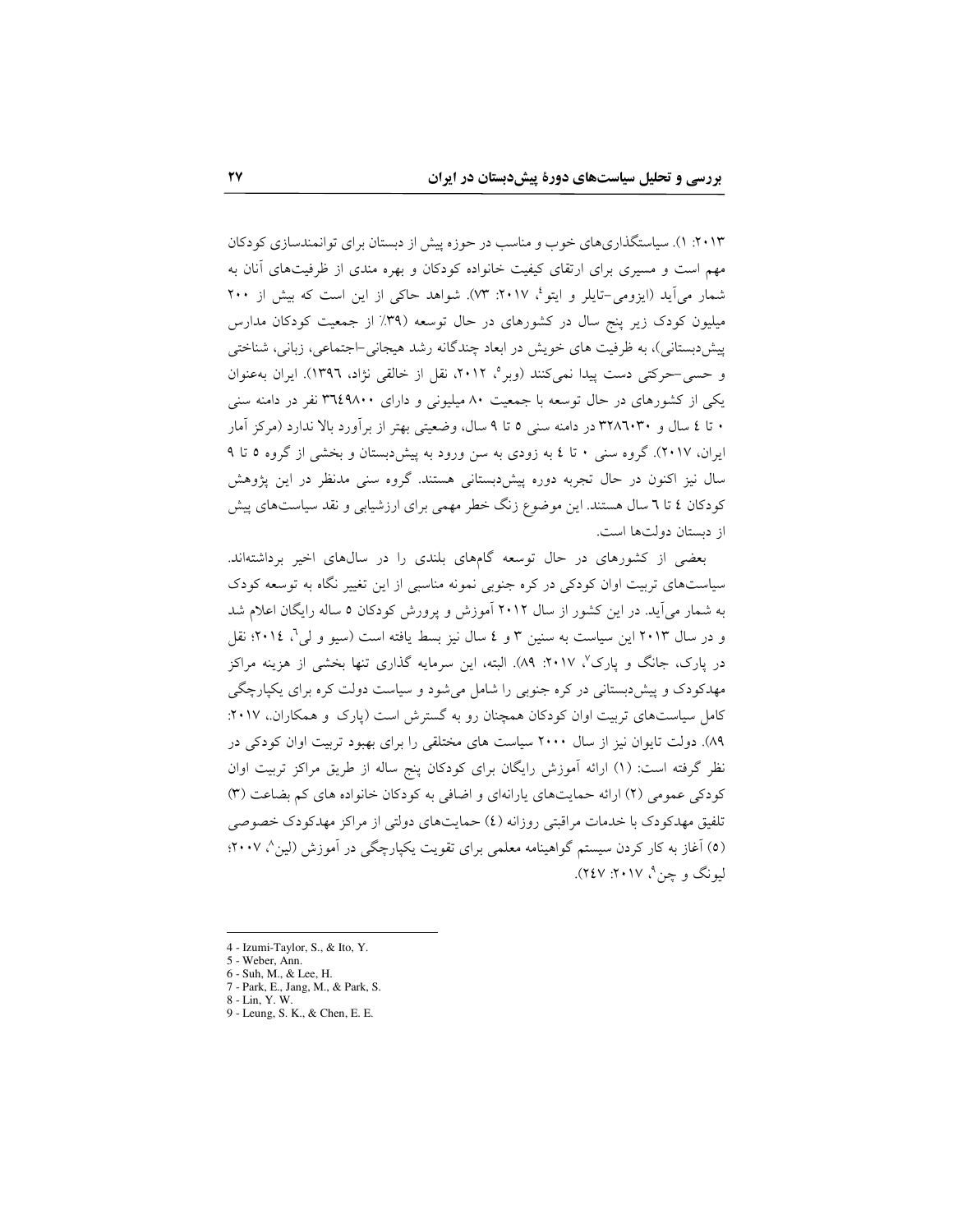۲۰۱۳: ۱). سیاستگذاریهای خوب و مناسب در حوزه پیش از دبستان برای توانمندسازی کودکان مهم است و مسیری برای ارتقای کیفیت خانواده کودکان و بهره مندی از ظرفیتهای أنان به شمار می آید (ایزومی-تایلر و ایتو<sup>ع</sup>، ۲۰۱۷: ۷۳). شواهد حاکی از این است که بیش از ۲۰۰ میلیون کودک زیر پنج سال در کشورهای در حال توسعه (۳۹٪ از جمعیت کودکان مدارس پیش دبستانی)، به ظرفیت های خویش در ابعاد چندگانه رشد هیجانی-اجتماعی، زبانی، شناختی و حسى-حركتي دست پيدا نميكنند (وبر°، ٢٠١٢، نقل از خالقي نژاد، ١٣٩٦). ايران به عنوان یکی از کشورهای در حال توسعه با جمعیت ۸۰ میلیونی و دارای ۳٦٤٩٨٠٠ نفر در دامنه سنی ۰ تا ٤ سال و ۳۲۸٦۰۳۰ در دامنه سنی ٥ تا ٩ سال، وضعیتی بهتر از برآورد بالا ندارد (مرکز آمار ایران، ٢٠١٧). گروه سنی • تا ٤ به زودی به سن ورود به پیش دبستان و بخشی از گروه ٥ تا ٩ سال نیز اکنون در حال تجربه دوره پیشدبستانی هستند. گروه سنی مدنظر در این پژوهش کودکان ٤ تا ٦ سال هستند. این موضوع زنگ خطر مهمی برای ارزشیابی و نقد سیاستهای پیش از دبستان دولتها است.

بعضی از کشورهای در حال توسعه گامهای بلندی را در سالهای اخیر برداشتهاند. سیاستهای تربیت اوان کودکی در کره جنوبی نمونه مناسبی از این تغییر نگاه به توسعه کودک به شمار می آید. در این کشور از سال ۲۰۱۲ آموزش و پرورش کودکان ۵ ساله رایگان اعلام شد و در سال ۲۰۱۳ این سیاست به سنین ۳ و ٤ سال نیز بسط یافته است (سیو و لی<sup>7</sup>، ۲۰۱٤؛ نقل در یارک، جانگ و یارک''، ۲۰۱۷: ۸۹). البته، این سرمایه گذاری تنها بخشی از هزینه مراکز مهدکودک و پیش،بستانی در کره جنوبی را شامل میشود و سیاست دولت کره برای یکپارچگی کامل سیاستهای تربیت اوان کودکان همچنان رو به گسترش است (پارک و همکاران.، ۲۰۱۷: ۸۹). دولت تایوان نیز از سال ۲۰۰۰ سیاست های مختلقی را برای بهبود تربیت اوان کودکی در نظر گرفته است: (۱) ارائه اَموزش رایگان برای کودکان پنج ساله از طریق مراکز تربیت اوان كودكي عمومي (٢) ارائه حمايتهاي يارانهاي واضافي به كودكان خانواده هاي كم بضاعت (٣) تلفیق مهدکودک با خدمات مراقبتی روزانه (٤) حمایتهای دولتی از مراکز مهدکودک خصوصی (٥) آغاز به کار کردن سیستم گواهینامه معلمی برای تقویت یکپارچگی در آموزش (لین^، ۲۰۰۷؛ ليونگ و چن°، ٢٠١٧: ٢٤٧).

9 - Leung, S. K., & Chen, E. E.

<sup>4 -</sup> Izumi-Taylor, S., & Ito, Y.

<sup>5 -</sup> Weber, Ann. 6 - Suh, M., & Lee, H.

<sup>7 -</sup> Park, E., Jang, M., & Park, S.

<sup>8 -</sup> Lin, Y. W.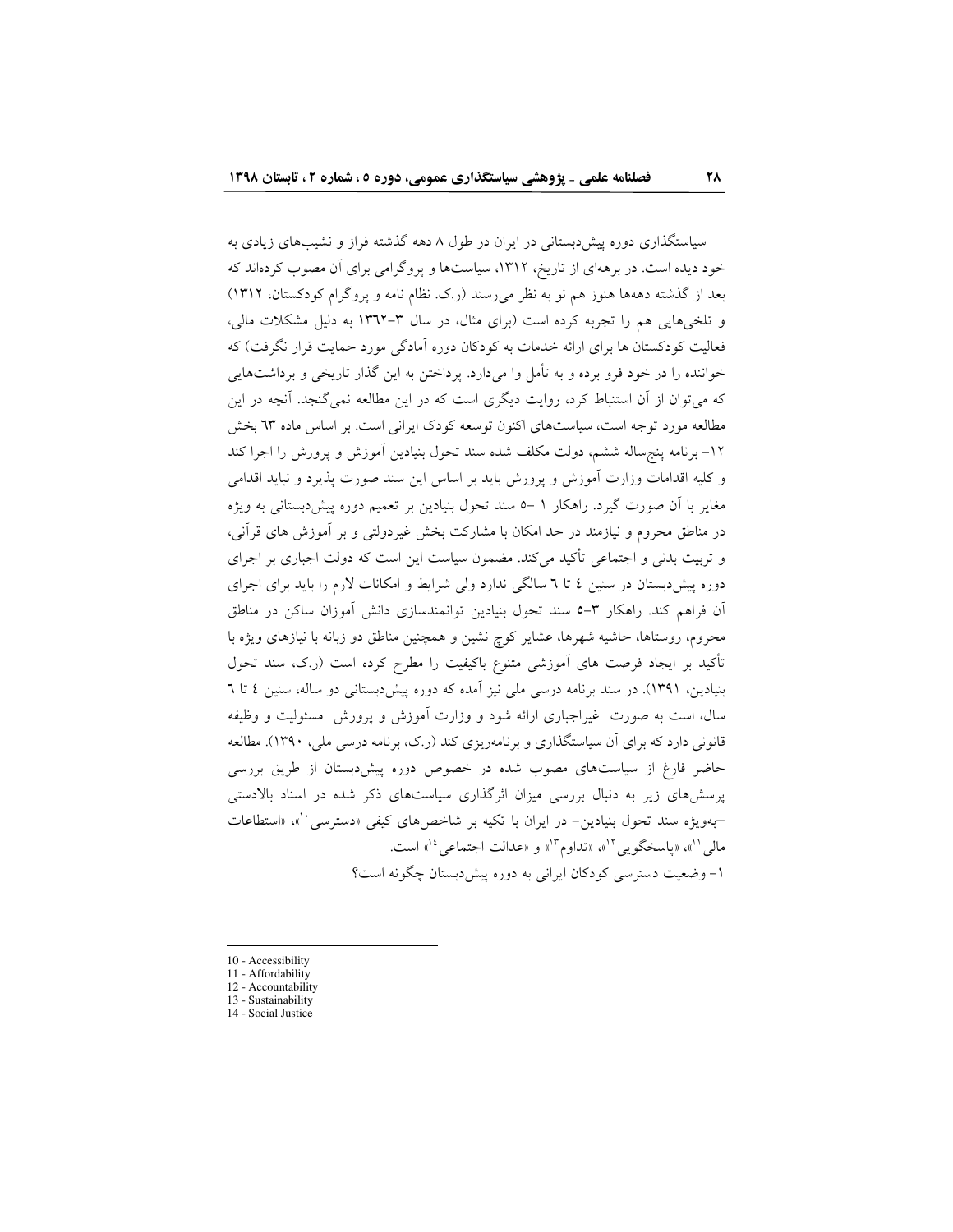سیاستگذاری دوره پیش دبستانی در ایران در طول ۸ دهه گذشته فراز و نشیبهای زیادی به خود دیده است. در برههای از تاریخ، ۱۳۱۲، سیاستها و پروگرامی برای آن مصوب کردهاند که بعد از گذشته دههها هنوز هم نو به نظر می رسند (ر.ک. نظام نامه و پروگرام کودکستان، ۱۳۱۲) و تلخیهایی هم را تجربه کرده است (برای مثال، در سال ۳-۱۳٦۲ به دلیل مشکلات مالی، فعالیت کودکستان ها برای ارائه خدمات به کودکان دوره آمادگی مورد حمایت قرار نگرفت) که خواننده را در خود فرو برده و به تأمل وا میدارد. پرداختن به این گذار تاریخی و برداشتهایی که می توان از آن استنباط کرد، روایت دیگری است که در این مطالعه نمیگنجد. آنچه در این مطالعه مورد توجه است، سیاستهای اکنون توسعه کودک ایرانی است. بر اساس ماده ٦٣ بخش ١٢- برنامه پنج ساله ششم، دولت مكلف شده سند تحول بنيادين أموزش و پرورش را اجرا كند و کلیه اقدامات وزارت آموزش و پرورش باید بر اساس این سند صورت پذیرد و نباید اقدامی مغایر با آن صورت گیرد. راهکار ۱ –۵ سند تحول بنیادین بر تعمیم دوره پیش<بستانی به ویژه در مناطق محروم و نیازمند در حد امکان با مشارکت بخش غیردولتی و بر آموزش های قرآنی، و تربیت بدنی و اجتماعی تأکید میکند. مضمون سیاست این است که دولت اجباری بر اجرای دوره پیش دبستان در سنین ٤ تا ٦ سالگی ندارد ولی شرایط و امکانات لازم را باید برای اجرای آن فراهم کند. راهکار ۳-۵ سند تحول بنیادین توانمندسازی دانش آموزان ساکن در مناطق محروم، روستاها، حاشیه شهرها، عشایر کوچ نشین و همچنین مناطق دو زبانه با نیازهای ویژه با تأکید بر ایجاد فرصت های آموزشی متنوع باکیفیت را مطرح کرده است (ر.ک، سند تحول بنیادین، ۱۳۹۱). در سند برنامه درسی ملی نیز آمده که دوره پیش دبستانی دو ساله، سنین ٤ تا ٦ سال، است به صورت غیراجباری ارائه شود و وزارت اَموزش و پرورش ٍ مسئولیت و وظیفه قانونی دارد که برای آن سیاستگذاری و برنامهریزی کند (ر.ک، برنامه درسی ملی، ۱۳۹۰). مطالعه حاضر فارغ از سیاستهای مصوب شده در خصوص دوره پیش دبستان از طریق بررسی پرسشهای زیر به دنبال بررسی میزان اثرگذاری سیاستهای ذکر شده در اسناد بالادستی -بهویژه سند تحول بنیادین- در ایران با تکیه بر شاخصهای کیفی «دسترسی<sup>۱۰</sup>»، «استطاعات مالي ``»، «ياسخگويى ``»، «تداوم ``"» و «عدالت اجتماعى <sup>١٤</sup>» است. ۱– وضعیت دسترسی کودکان ایرانی به دوره پیش دبستان چگونه است؟

- 10 Accessibility
- 11 Affordability 12 - Accountability
- 13 Sustainability
- 14 Social Justice
-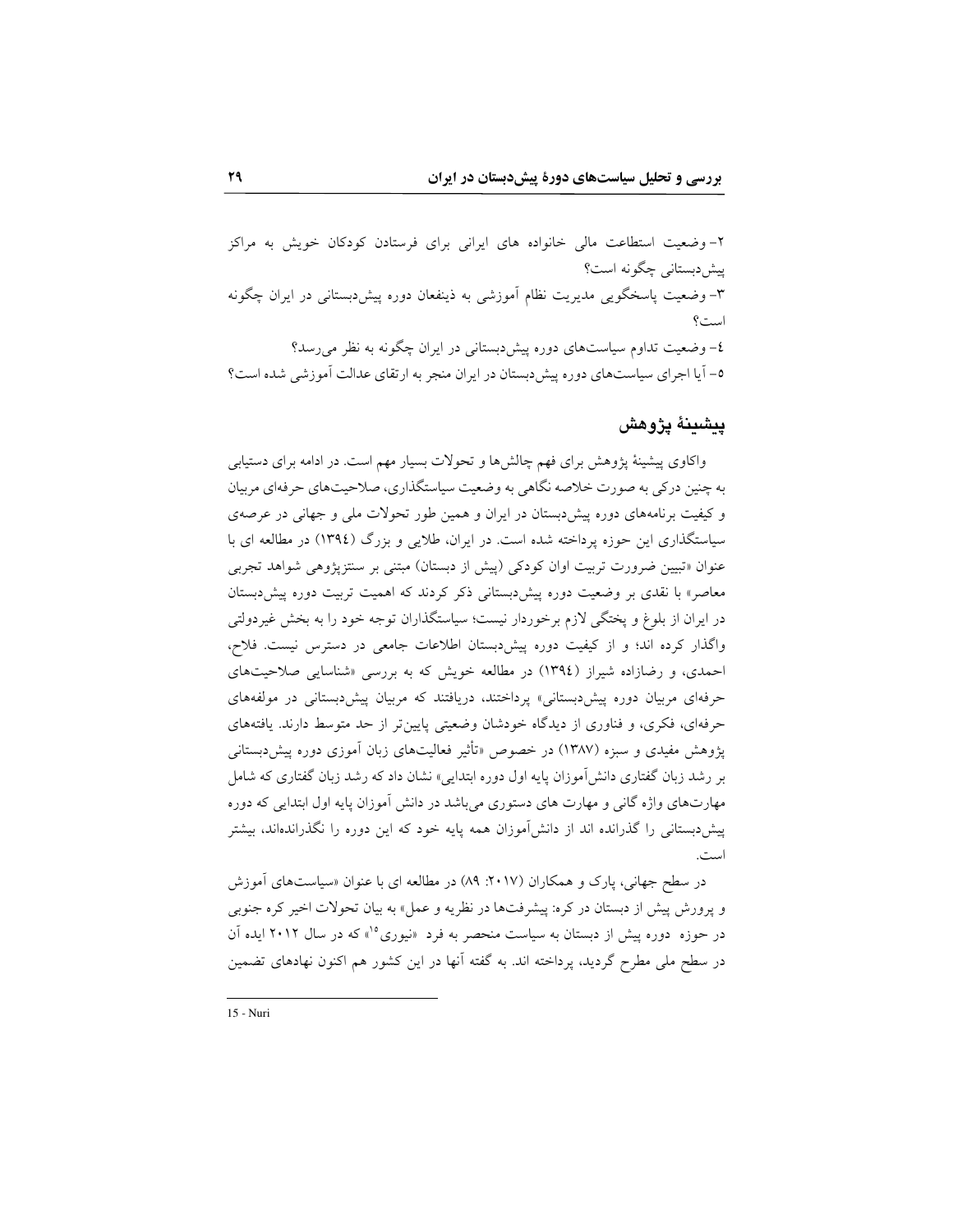۲- وضعیت استطاعت مالی خانواده های ایرانی برای فرستادن کودکان خویش به مراکز پیشدبستانی چگونه است؟ ۳– وضعیت پاسخگویی مدیریت نظام آموزشی به ذینفعان دوره پیش،بستانی در ایران چگونه است؟ ٤– وضعیت تداوم سیاستهای دوره پیش دبستانی در ایران چگونه به نظر می رسد؟ ٥- آيا اجراي سياستهاي دوره پيش دبستان در ايران منجر به ارتقاي عدالت آموزشي شده است؟

# ييشينة يژوهش

واکاوی پیشینهٔ پژوهش برای فهم چالشها و تحولات بسیار مهم است. در ادامه برای دستیابی به چنین درکی به صورت خلاصه نگاهی به وضعیت سیاستگذاری، صلاحیتهای حرفهای مربیان و کیفیت برنامههای دوره پیش دبستان در ایران و همین طور تحولات ملی و جهانی در عرصهی سیاستگذاری این حوزه برداخته شده است. در ایران، طلایی و بزرگ (١٣٩٤) در مطالعه ای با عنوان «تبیین ضرورت تربیت اوان کودکی (پیش از دبستان) مبتنی بر سنتزیژوهی شواهد تجربی معاصر» با نقدی بر وضعیت دوره پیش دبستانی ذکر کردند که اهمیت تربیت دوره پیش دبستان در ایران از بلوغ و یختگی لازم برخوردار نیست؛ سیاستگذاران توجه خود را به بخش غیردولتی واگذار کرده اند؛ و از کیفیت دوره پیش دبستان اطلاعات جامعی در دسترس نیست. فلاح، احمدی، و رضازاده شیراز (١٣٩٤) در مطالعه خویش که به بررسی «شناسایی صلاحیتهای حرفهای مربیان دوره پیشدبستانی» پرداختند، دریافتند که مربیان پیش،دبستانی در مولفههای حرفهای، فکری، و فناوری از دیدگاه خودشان وضعیتی پایین تر از حد متوسط دارند. یافتههای پژوهش مفیدی و سبزه (۱۳۸۷) در خصوص «تأثیر فعالیتهای زبان آموزی دوره پیش(بستانی بر رشد زبان گفتاری دانش آموزان پایه اول دوره ابتدایی» نشان داد که رشد زبان گفتاری که شامل مهارتهای واژه گانی و مهارت های دستوری میباشد در دانش آموزان پایه اول ابتدایی که دوره پیش،دبستانی را گذرانده اند از دانش آموزان همه پایه خود که این دوره را نگذراندهاند، بیشتر است.

در سطح جهانی، پارک و همکاران (۲۰۱۷: ۸۹) در مطالعه ای با عنوان «سیاستهای آموزش و پرورش پیش از دبستان در کره: پیشرفتها در نظریه و عمل» به بیان تحولات اخیر کره جنوبی در حوزه دوره پیش از دبستان به سیاست منحصر به فرد «نیوری<sup>۱</sup>۵» که در سال ۲۰۱۲ ایده آن در سطح ملَّى مطرح گرديد، پرداخته اند. به گفته آنها در اين كشور هم اكنون نهادهاى تضمين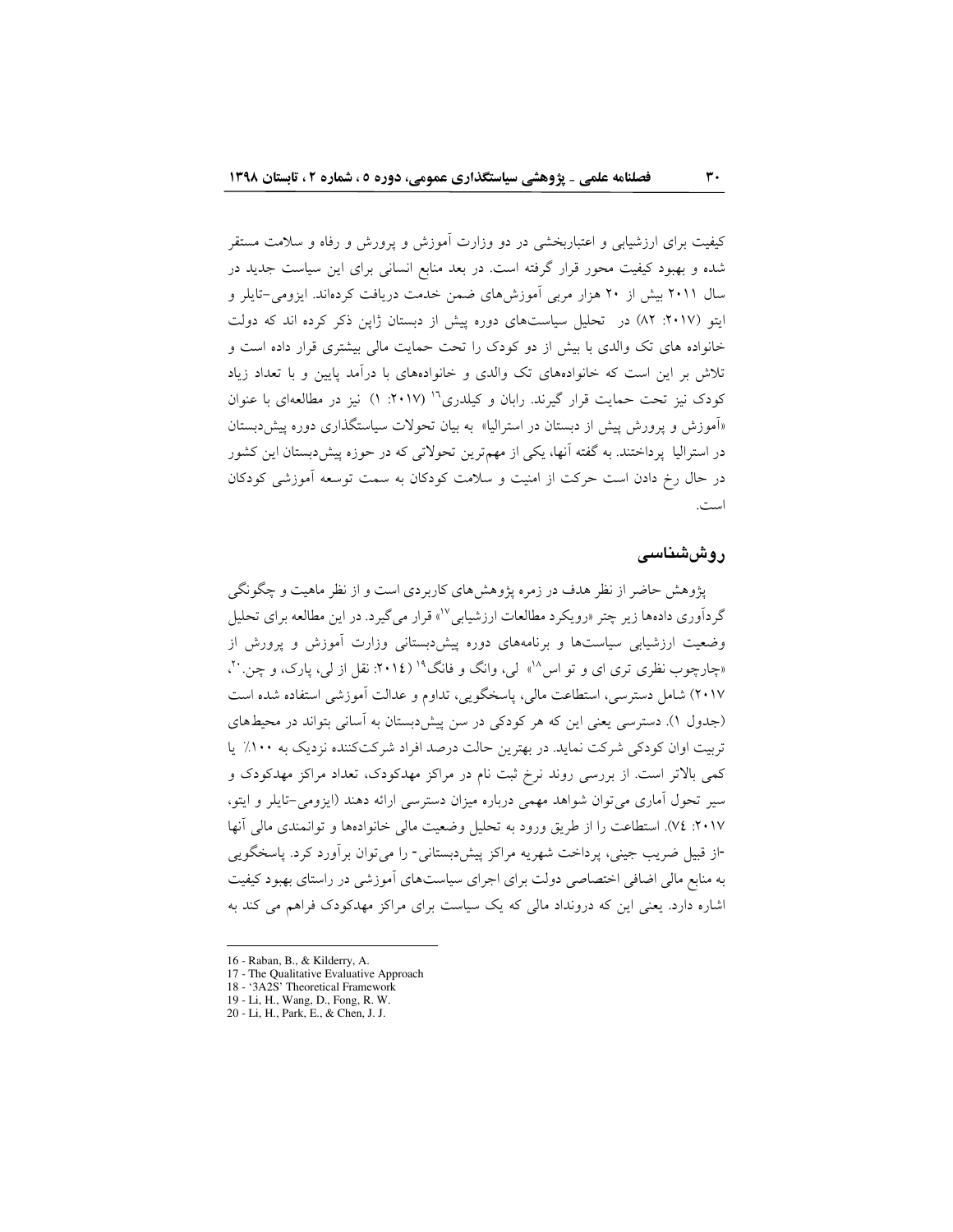کیفیت برای ارزشیابی و اعتباربخشی در دو وزارت آموزش و پرورش و رفاه و سلامت مستقر شده و بهبود کیفیت محور قرار گرفته است. در بعد منابع انسانی برای این سیاست جدید در سال ۲۰۱۱ بیش از ۲۰ هزار مربی آموزش های ضمن خدمت دریافت کردهاند. ایزومی-تایلر و ایتو (۲۰۱۷: ۸۲) در تحلیل سیاستهای دوره پیش از دبستان ژاپن ذکر کرده اند که دولت خانواده های تک والدی با بیش از دو کودک را تحت حمایت مالی بیشتری قرار داده است و تلاش بر این است که خانوادههای تک والدی و خانوادههای با درآمد پایین و با تعداد زیاد کودک نیز تحت حمایت قرار گیرند. رابان و کیلدری<sup>۱٬</sup> (۲۰۱۷: ۱) نیز در مطالعهای با عنوان «اَموزش و یرورش پیش از دبستان در استرالیا» به بیان تحولات سیاستگذاری دوره پیش دبستان در استرالیا پرداختند. به گفته آنها، یکی از مهم ترین تحولاتی که در حوزه پیشدبستان این کشور در حال رخ دادن است حرکت از امنیت و سلامت کودکان به سمت توسعه آموزشی کودکان است.

# ر وش شناسی

پژوهش حاضر از نظر هدف در زمره پژوهشهای کاربردی است و از نظر ماهیت و چگونگی گردآوری دادهها زیر چتر «رویکرد مطالعات ارزشیابی<sup>۷</sup>"» قرار می گیرد. در این مطالعه برای تحلیل وضعیت ارزشیابی سیاستها و برنامههای دوره پیش دبستانی وزارت آموزش و پرورش از «چارچوب نظری تری ای و تو اس<sup>۱۸</sup>» لی، وانگ و فانگ<sup>۱۹</sup> (۲۰۱٤: نقل از لی، یارک، و چن ۲۰ ، ۲۰۱۷) شامل دسترسی، استطاعت مالی، پاسخگویی، تداوم و عدالت آموزشی استفاده شده است (جدول ۱). دسترسی یعنی این که هر کودکی در سن پیش دبستان به آسانی بتواند در محیطهای تربیت اوان کودکی شرکت نماید. در بهترین حالت درصد افراد شرکتکننده نزدیک به ۱۰۰٪ یا کمی بالاتر است. از بررسی روند نرخ ثبت نام در مراکز مهدکودک، تعداد مراکز مهدکودک و سیر تحول اَماری می توان شواهد مهمی درباره میزان دسترسی ارائه دهند (ایزومی-تایلر و ایتو، ۲۰۱۷: ۷٤). استطاعت را از طریق ورود به تحلیل وضعیت مالی خانوادهها و توانمندی مالی آنها -از قبیل ضریب جینی، پرداخت شهریه مراکز پیشدبستانی- را می توان برآورد کرد. پاسخگویی به منابع مالی اضافی اختصاصی دولت برای اجرای سیاستهای آموزشی در راستای بهبود کیفیت اشاره دارد. یعنی این که درونداد مالی که یک سیاست برای مراکز مهدکودک فراهم می کند به

<sup>16 -</sup> Raban, B., & Kilderry, A.

<sup>17 -</sup> The Qualitative Evaluative Approach 18 - '3A2S' Theoretical Framework

<sup>19 -</sup> Li, H., Wang, D., Fong, R. W.

<sup>20 -</sup> Li, H., Park, E., & Chen, J. J.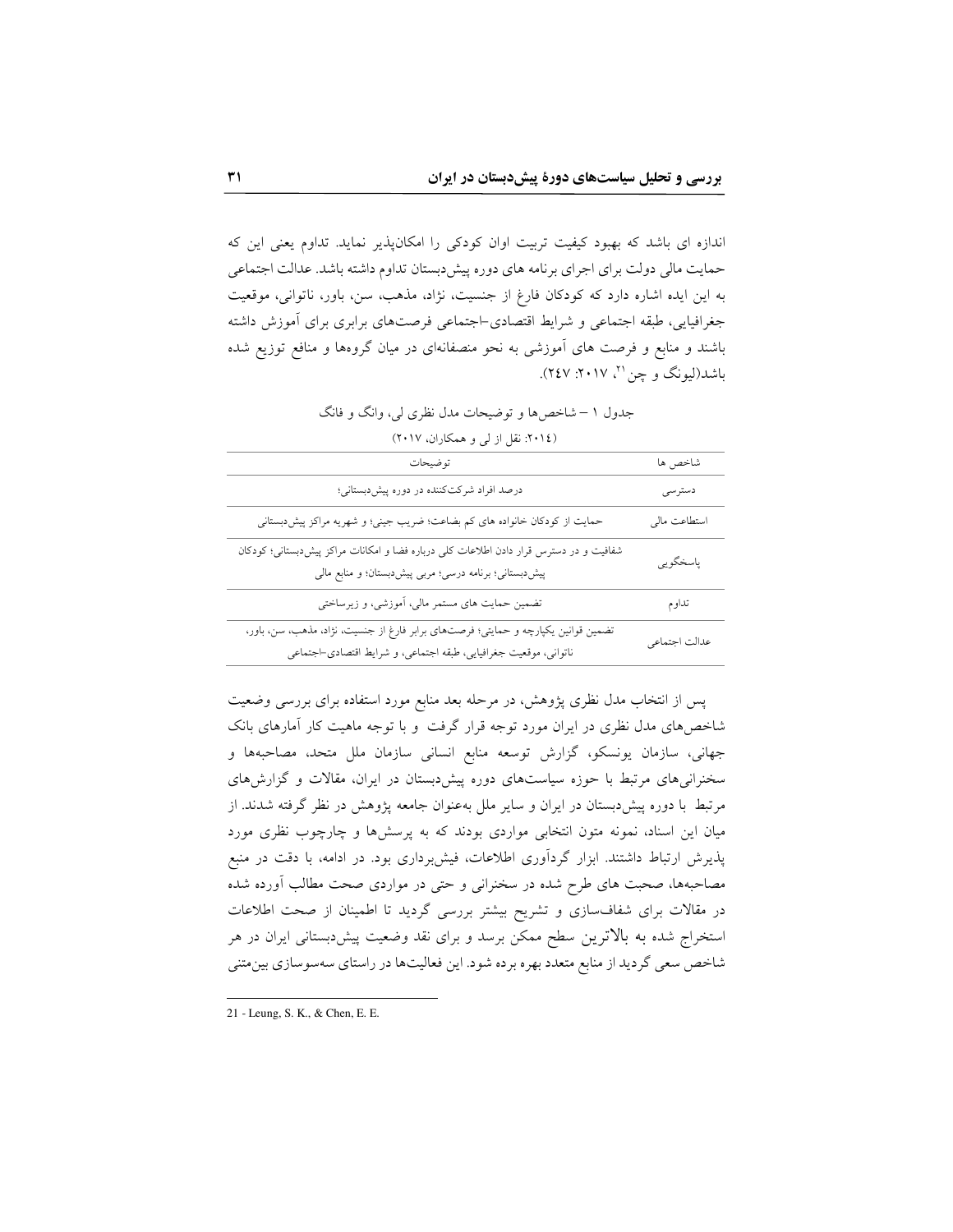اندازه ای باشد که بهبود کیفیت تربیت اوان کودکی را امکانپذیر نماید. تداوم یعنی این که حمایت مالی دولت برای اجرای برنامه های دوره پیش دبستان تداوم داشته باشد. عدالت اجتماعی به این ایده اشاره دارد که کودکان فارغ از جنسیت، نژاد، مذهب، سن، باور، ناتوانی، موقعیت جغرافیایی، طبقه اجتماعی و شرایط اقتصادی-اجتماعی فرصتهای برابری برای آموزش داشته باشند و منابع و فرصت های آموزشی به نحو منصفانهای در میان گروهها و منافع توزیع شده باشد(ليونگ و چن''، ٢٠١٧: ٢٤٧).

جدول ۱ – شاخص ها و توضیحات مدل نظری لی، وانگ و فانگ (٢٠١٤: نقل از لي و همكاران، ٢٠١٧)

| توضيحات                                                                                                                                               | شاخص ها       |
|-------------------------------------------------------------------------------------------------------------------------------------------------------|---------------|
| درصد افراد شرکتکننده در دوره پیشدبستانی؛                                                                                                              | دسترسى        |
| حمایت از کودکان خانواده های کم بضاعت؛ ضریب جینی؛ و شهریه مراکز پیشدبستانی                                                                             | استطاعت مالي  |
| شفافیت و در دسترس قرار دادن اطلاعات کلی درباره فضا و امکانات مراکز پیش(بستانی؛ کودکان<br>پیشدبستانی؛ برنامه درسی؛ مربی پیشدبستان؛ و منابع مالی        | پاسخگويي      |
| تضمین حمایت های مستمر مالی، آموزشی، و زیرساختی                                                                                                        | تداوم         |
| تضمین قوانین یکپارچه و حمایتی؛ فرصتهای برابر فارغ از جنسیت، نژاد، مذهب، سن، باور،<br>ناتواني، موقعيت جغرافيايي، طبقه اجتماعي، و شرايط اقتصادي-اجتماعي | عدالت اجتماعي |

پس از انتخاب مدل نظری پژوهش، در مرحله بعد منابع مورد استفاده برای بررسی وضعیت شاخصهای مدل نظری در ایران مورد توجه قرار گرفت و با توجه ماهیت کار آمارهای بانک جهانی، سازمان یونسکو، گزارش توسعه منابع انسانی سازمان ملل متحد، مصاحبهها و سخنرانی های مرتبط با حوزه سیاستهای دوره پیش دبستان در ایران، مقالات و گزارش های مرتبط با دوره پیشدبستان در ایران و سایر ملل بهعنوان جامعه پژوهش در نظر گرفته شدند. از میان این اسناد، نمونه متون انتخابی مواردی بودند که به پرسشها و چارچوب نظری مورد پذیرش ارتباط داشتند. ابزار گردآوری اطلاعات، فیش برداری بود. در ادامه، با دقت در منبع مصاحبهها، صحبت های طرح شده در سخنرانی و حتی در مواردی صحت مطالب آورده شده در مقالات برای شفافسازی و تشریح بیشتر بررسی گردید تا اطمینان از صحت اطلاعات استخراج شده به بالاترین سطح ممکن برسد و برای نقد وضعیت پیش،بستانی ایران در هر شاخص سعی گردید از منابع متعدد بهره برده شود. این فعالیتها در راستای سهسوسازی بینمتنی

<sup>21 -</sup> Leung, S. K., & Chen, E. E.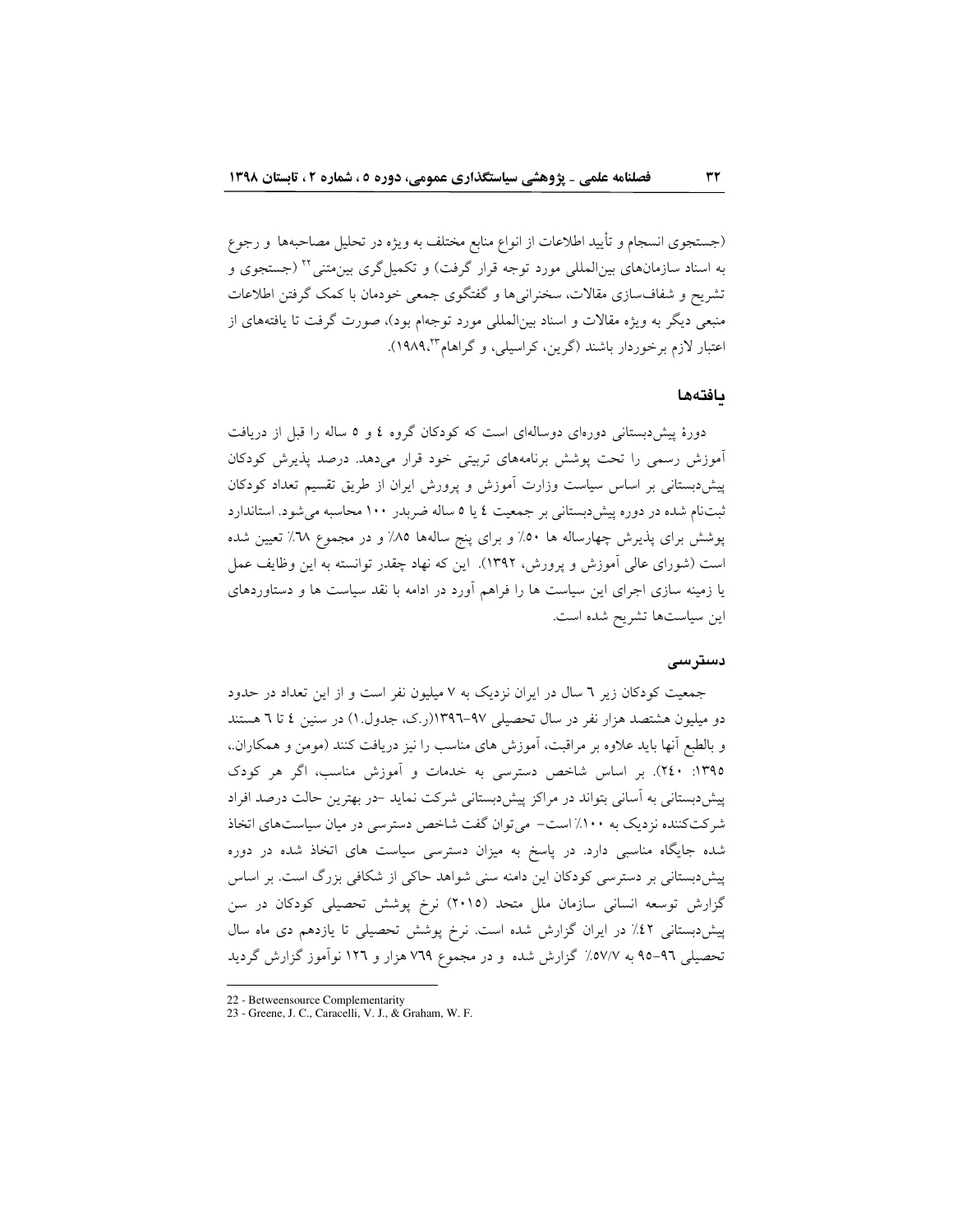(جستجوى انسجام و تأييد اطلاعات از انواع منابع مختلف به ويژه در تحليل مصاحبهها و رجوع به اسناد سازمانهای بینالمللی مورد توجه قرار گرفت) و تکمیل گری بین متنیٌ <sup>۲۲</sup> (جستجوی و تشریح و شفافسازی مقالات، سخنرانیها و گفتگوی جمعی خودمان با کمک گرفتن اطلاعات منبعی دیگر به ویژه مقالات و اسناد بینالمللی مورد توجهام بود)، صورت گرفت تا یافتههای از اعتبار لازم برخوردار باشند (گرین، کراسیلی، و گراهام ۱۹۸۹٬<sup>۳۳</sup>).

#### ىافتەھا

دورهٔ پیش دبستانی دورهای دوسالهای است که کودکان گروه ٤ و ٥ ساله را قبل از دریافت آموزش رسمی را تحت پوشش برنامههای تربیتی خود قرار میدهد. درصد پذیرش کودکان پیش،دبستانی بر اساس سیاست وزارت اَموزش و پرورش ایران از طریق تقسیم تعداد کودکان ثبتنام شده در دوره پیشدبستانی بر جمعیت ٤ یا ٥ ساله ضربدر ١٠٠ محاسبه میشود. استاندارد پوشش برای پذیرش چهارساله ها ۵۰٪ و برای پنج سالهها ۸۵٪ و در مجموع ۳۸٪ تعیین شده است (شورای عالی آموزش و پرورش، ۱۳۹۲). این که نهاد چقدر توانسته به این وظایف عمل یا زمینه سازی اجرای این سیاست ها را فراهم آورد در ادامه با نقد سیاست ها و دستاوردهای این سیاستها تشریح شده است.

#### دسترسى

جمعیت کودکان زیر ٦ سال در ایران نزدیک به ٧ میلیون نفر است و از این تعداد در حدود دو میلیون هشتصد هزار نفر در سال تحصیلی ۹۷-۱۳۹٦(ر.ک، جدول.۱) در سنین ٤ تا ٦ هستند و بالطبع أنها بايد علاوه بر مراقبت، أموزش هاى مناسب را نيز دريافت كنند (مومن و همكاران.، ۱۳۹۵: ۲٤۰). بر اساس شاخص دسترسی به خدمات و آموزش مناسب، اگر هر کودک پیش،دبستانی به اسانی بتواند در مراکز پیش،دبستانی شرکت نماید –در بهترین حالت درصد افراد شرکتکننده نزدیک به ۱۰۰٪ است- می توان گفت شاخص دسترسی در میان سیاستهای اتخاذ شده جایگاه مناسبی دارد. در پاسخ به میزان دسترسی سیاست های اتخاذ شده در دوره پیش دبستانی بر دسترسی کودکان این دامنه سنی شواهد حاکی از شکافی بزرگ است. بر اساس گزارش توسعه انسانی سازمان ملل متحد (٢٠١٥) نرخ پوشش تحصیلی کودکان در سن پیش دبستانی ٤٢٪ در ایران گزارش شده است. نرخ پوشش تحصیلی تا یازدهم دی ماه سال تحصیلی ۹٦-۹۵ به ۵۷/۷٪ گزارش شده و در مجموع ۷٦۹ هزار و ۱۲٦ نواموز گزارش گردید

<sup>22 -</sup> Betweensource Complementarity

<sup>23 -</sup> Greene, J. C., Caracelli, V. J., & Graham, W. F.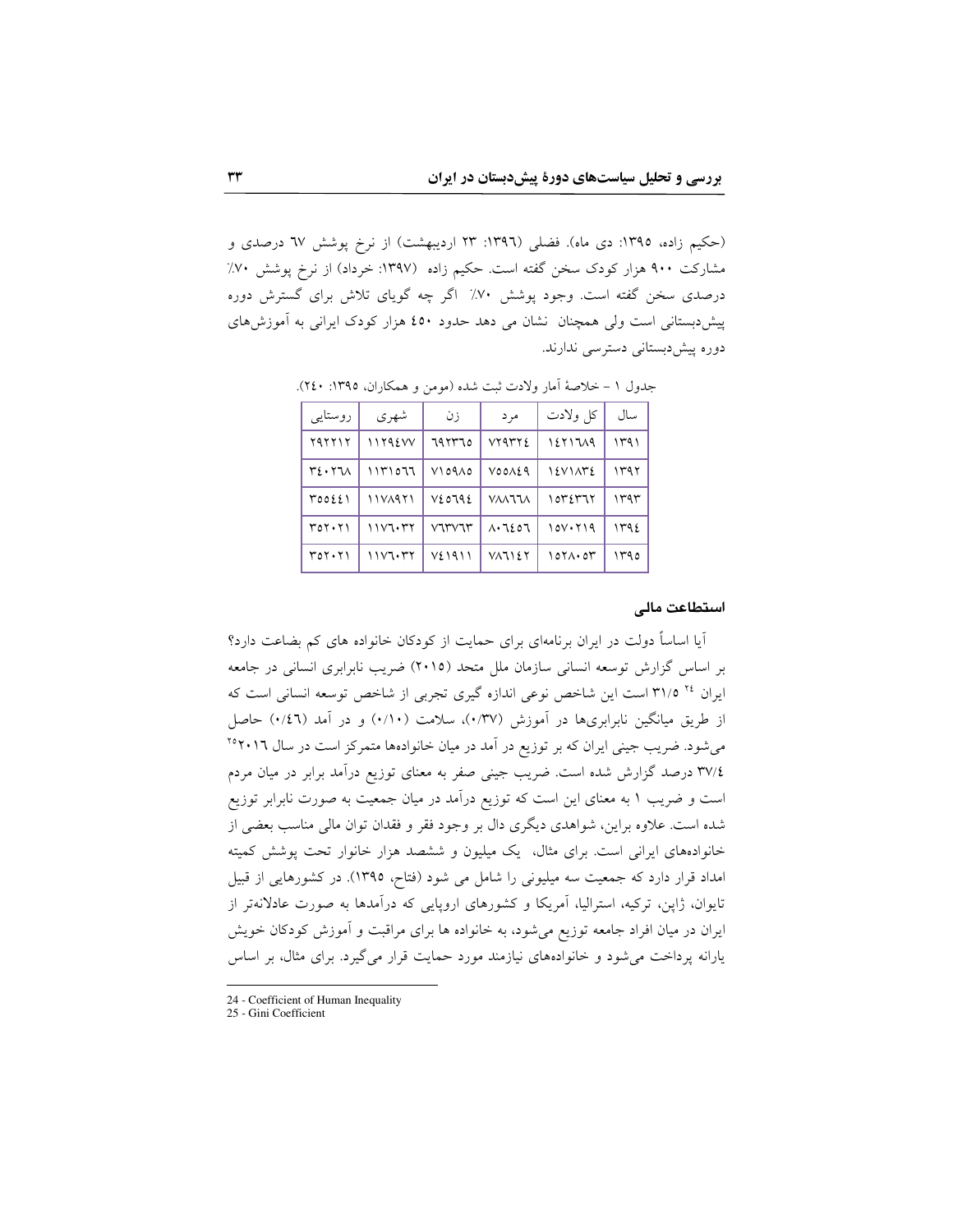(حکیم زاده، ۱۳۹۵: دی ماه). فضلی (۱۳۹٦: ۲۳ اردیبهشت) از نرِخ پوشش ٦٧ درصدی و مشارکت ۹۰۰ هزار کودک سخن گفته است. حکیم زاده (۱۳۹۷: خرداد) از نرخ پوشش ۷۰٪ درصدی سخن گفته است. وجود پوشش ۷۰٪ اگر چه گویای تلاش برای گسترش دوره پیش دبستانی است ولی همچنان نشان می دهد حدود ٤٥٠ هزار کودک ایرانی به آموزش های دورہ پیش دبستانی دسترسی ندارند.

| روستايي | شهر ی    | زن     | مر د             | کل ولادت        | سال  |
|---------|----------|--------|------------------|-----------------|------|
| ۲۹۲۲۱۲  | 1179 EVV | 797370 | VT4rrf           | 1271719         | ۱۳۹۱ |
| ۳٤٠٢٦٨  | ۱۱۳۱ ۵۶۹ | ۷۱٥۹۸٥ | VOOREA           | ١٤٧١٨٣٤         | ۱۳۹۲ |
| ۳٥٥٤٤١  | 1178921  | VE079E | VAAJJA           | ۱۵۳٤۳٦۲         | ۱۳۹۳ |
| ۳۵۲۰۲۱  | ۱۱۷٦۰۳۲  | virvir | $\Lambda$ . 7207 | $10V \cdot 719$ | ۱۳۹٤ |
| ۳۵۲۰۲۱  | ۱۱۷۶۰۳۲  | ۷٤١٩١١ | ۷۸٦۱٤٢           | ۱۵۲۸۰ ۵۳        | ۱۳۹٥ |

جدول ١ – خلاصة آمار ولادت ثبت شده (مومن و همكاران، ١٣٩٥: ٢٤٠).

### استطاعت مالى

آیا اساساً دولت در ایران برنامهای برای حمایت از کودکان خانواده های کم بضاعت دارد؟ بر اساس گزارش توسعه انسانی سازمان ملل متحد (٢٠١٥) ضریب نابرابری انسانی در جامعه ایران ۲٬ ۳۱/۵ است این شاخص نوعی اندازه گیری تجربی از شاخص توسعه انسانی است که از طریق میانگین نابرابریها در آموزش (۰/۳۷)، سلامت (۰/۱۰) و در آمد (۰/٤٦) حاصل میشود. ضریب جینی ایران که بر توزیع در آمد در میان خانوادهها متمرکز است در سال ۲۰۱٦° ٣٧/٤ درصد گزارش شده است. ضريب جيني صفر به معناي توزيع درآمد برابر در ميان مردم است و ضریب ۱ به معنای این است که توزیع درآمد در میان جمعیت به صورت نابرابر توزیع شده است. علاوه براین، شواهدی دیگری دال بر وجود فقر و فقدان توان مالی مناسب بعضی از خانوادههای ایرانی است. برای مثال، یک میلیون و ششصد هزار خانوار تحت پوشش کمیته امداد قرار دارد که جمعیت سه میلیونی را شامل می شود (فتاح، ١٣٩٥). در کشورهایی از قبیل تایوان، ژاپن، ترکیه، استرالیا، آمریکا و کشورهای اروپایی که درآمدها به صورت عادلانهتر از ایران در میان افراد جامعه توزیع میشود، به خانواده ها برای مراقبت و آموزش کودکان خویش یارانه پرداخت می شود و خانوادههای نیازمند مورد حمایت قرار می گیرد. برای مثال، بر اساس

- 24 Coefficient of Human Inequality
- 25 Gini Coefficient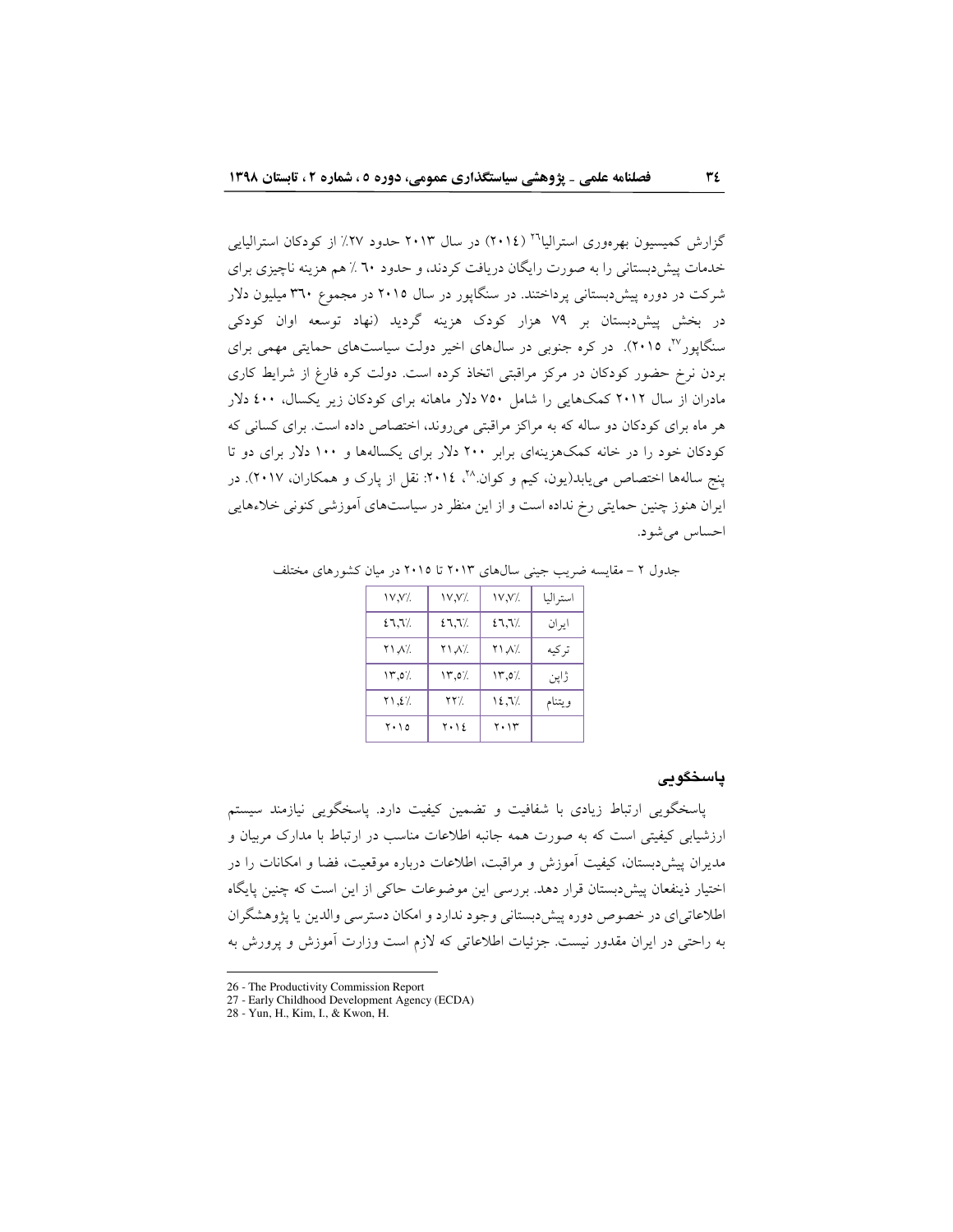گزارش کمیسیون بهرهوری استرالیا<sup>۲۹</sup> (۲۰۱٤) در سال ۲۰۱۳ حدود ۲۷٪ از کودکان استرالیایی خدمات پیش دبستانی را به صورت رایگان دریافت کردند، و حدود ۲۰٪ هم هزینه ناچیزی برای شرکت در دوره پیش دبستانی پرداختند. در سنگاپور در سال ۲۰۱۵ در مجموع ۳٦۰ میلیون دلار در بخش پیشدبستان بر ۷۹ هزار کودک هزینه گردید (نهاد توسعه اوان کودکی سنگاپور<sup>۲۷</sup>، ۲۰۱۵). در کره جنوبی در سالهای اخیر دولت سیاستهای حمایتی مهمی برای بردن نرخ حضور کودکان در مرکز مراقبتی اتخاذ کرده است. دولت کره فارغ از شرایط کاری مادران از سال ۲۰۱۲ کمکهایی را شامل ۷۵۰ دلار ماهانه برای کودکان زیر یکسال، ٤٠٠ دلار هر ماه برای کودکان دو ساله که به مراکز مراقبتی می روند، اختصاص داده است. برای کسانی که کودکان خود را در خانه کمکهزینهای برابر ۲۰۰ دلار برای یکسالهها و ۱۰۰ دلار برای دو تا پنج سالهها اختصاص می یابد(یون، کیم و کوان ۲۰۱٬ ۲۰۱٤: نقل از پارک و همکاران، ۲۰۱۷). در ایران هنوز چنین حمایتی رخ نداده است و از این منظر در سیاستهای آموزشی کنونی خلاءهایی احساس مى شود.

| V.V.          | 1V, V/.                      | <b>IV, V/.</b>                  | استر اليا |
|---------------|------------------------------|---------------------------------|-----------|
| 27.7/         | 27.7/                        | 27.17                           | ایر ان    |
| 71 A/         | /۸٫۸۲                        | Y 1 .A/.                        | تر کیه    |
| $\sqrt{0.71}$ | $\mathcal{N}, \mathcal{O}/2$ | $Y^{\prime}, \circ \mathcal{C}$ | ژاين      |
| /٤. ٢١        | ۲۲٪                          | 12.1/                           | ويتنام    |
| ۲۰۱۵          | ۲۰۱٤                         | ۲۰۱۳                            |           |

جدول ٢ - مقایسه ضریب جینی سالهای ٢٠١٣ تا ٢٠١٥ در میان کشورهای مختلف

### ياسخگويى

پاسخگویی ارتباط زیادی با شفافیت و تضمین کیفیت دارد. پاسخگویی نیازمند سیستم ارزشیابی کیفیتی است که به صورت همه جانبه اطلاعات مناسب در ارتباط با مدارک مربیان و مدیران پیشدبستان، کیفیت آموزش و مراقبت، اطلاعات درباره موقعیت، فضا و امکانات را در اختیار ذینفعان پیش دبستان قرار دهد. بررسی این موضوعات حاکی از این است که چنین پایگاه اطلاعاتیای در خصوص دوره پیش دبستانی وجود ندارد و امکان دسترسی والدین یا پژوهشگران به راحتی در ایران مقدور نیست. جزئیات اطلاعاتی که لازم است وزارت آموزش و پرورش به

<sup>26 -</sup> The Productivity Commission Report

<sup>27 -</sup> Early Childhood Development Agency (ECDA)

<sup>28 -</sup> Yun, H., Kim, I., & Kwon, H.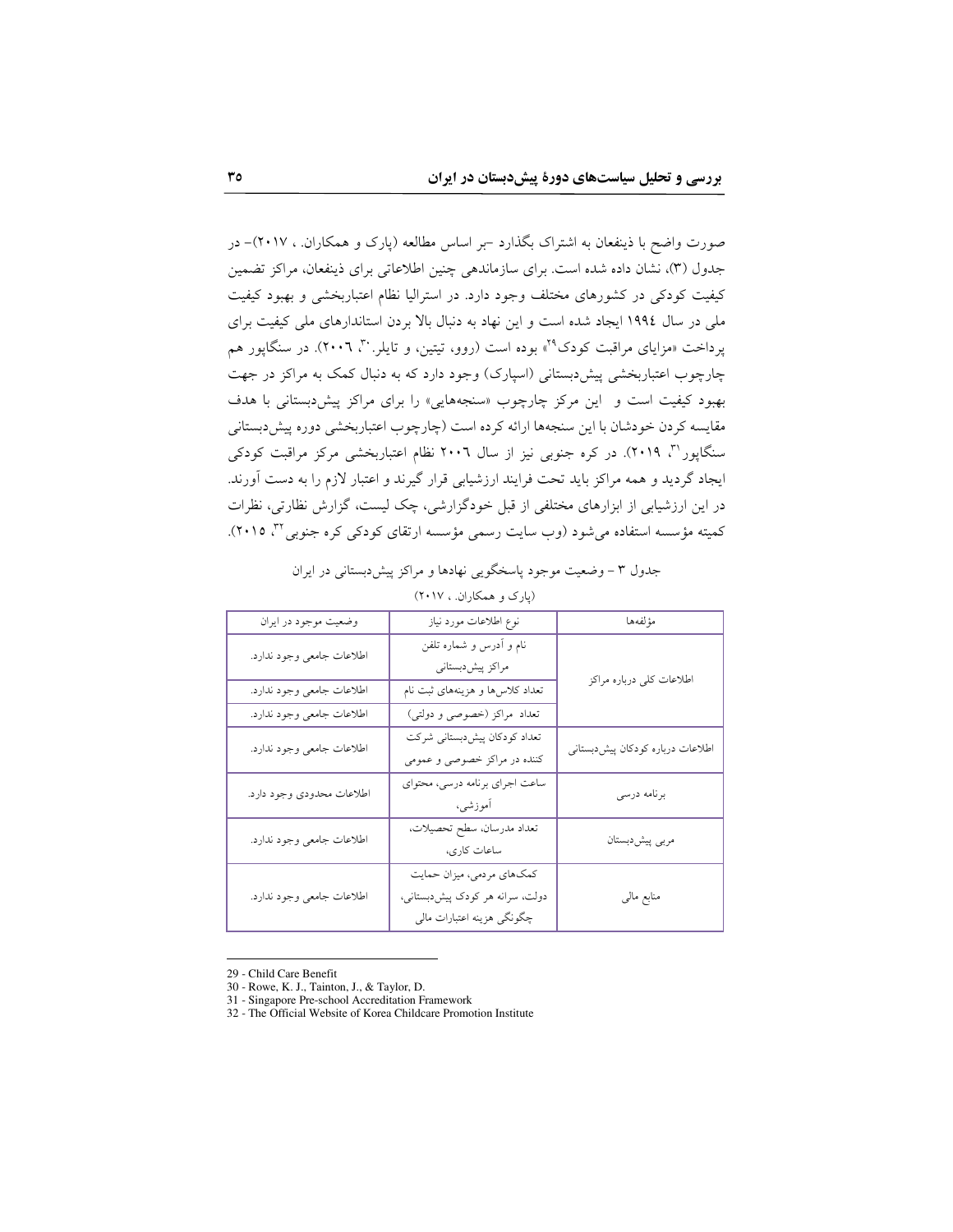صورت واضح با ذینفعان به اشتراک بگذارد –بر اساس مطالعه (پارک و همکاران. ، ۲۰۱۷)– در جدول (٣)، نشان داده شده است. براي سازماندهي چنين اطلاعاتي براي ذينفعان، مراكز تضمين کیفیت کودکی در کشورهای مختلف وجود دارد. در استرالیا نظام اعتباربخشی و بهبود کیفیت ملی در سال ۱۹۹٤ ایجاد شده است و این نهاد به دنبال بالا بردن استاندارهای ملی کیفیت برای یرداخت «مزایای مراقبت کودک<sup>۲۹</sup>» بوده است (روو، تیتین، و تایلر. ۳۰، ۲۰۰۲). در سنگایور هم چارچوب اعتباربخشی پیش دبستانی (اسپارک) وجود دارد که به دنبال کمک به مراکز در جهت بهبود کیفیت است و این مرکز چارچوب «سنجههایی» را برای مراکز پیش دبستانی با هدف مقایسه کردن خودشان با این سنجهها ارائه کرده است (چارچوب اعتباربخشی دوره پیش دبستانی سنگاپور (۳، ۲۰۱۹). در کره جنوبی نیز از سال ۲۰۰۲ نظام اعتباربخشی مرکز مراقبت کودکی ایجاد گردید و همه مراکز باید تحت فرایند ارزشیابی قرار گیرند و اعتبار لازم را به دست آورند. در این ارزشیابی از ابزارهای مختلفی از قبل خودگزارشی، چک لیست، گزارش نظارتی، نظرات کمیته مؤسسه استفاده می شود (وب سایت رسمی مؤسسه ارتقای کودکی کره جنوبی ۳، ۲۰۱۵).

# جدول ۳ - وضعیت موجود پاسخگویی نهادها و مراکز پیش،بستانی در ایران (بارک و همکاران ، ۲۰۱۷)

| وضعیت موجود در ایران      | نوع اطلاعات مورد نياز           | مؤلفهها                          |  |  |
|---------------------------|---------------------------------|----------------------------------|--|--|
| اطلاعات جامعي وجود ندارد. | نام و أدرس و شماره تلفن         |                                  |  |  |
|                           | مراكز پيشدبستاني                | اطلاعات كلى درباره مراكز         |  |  |
| اطلاعات جامعي وجود ندارد. | تعداد کلاسها و هزینههای ثبت نام |                                  |  |  |
| اطلاعات جامعي وجود ندارد. | تعداد مراکز (خصوصی و دولتی)     |                                  |  |  |
| اطلاعات جامعي وجود ندارد. | تعداد كودكان پيشدبستاني شركت    | اطلاعات درباره كودكان پيشدبستاني |  |  |
|                           | کننده در مراکز خصوصی و عمومی    |                                  |  |  |
| اطلاعات محدودي وجود دارد. | ساعت اجراي برنامه درسي، محتواي  | برنامه درسى                      |  |  |
|                           | آموزشی،                         |                                  |  |  |
| اطلاعات جامعي وجود ندارد. | تعداد مدرسان. سطح تحصيلات.      | مربى پيشدبستان                   |  |  |
|                           | ساعات كارى،                     |                                  |  |  |
| اطلاعات جامعي وجود ندارد. | کمکهای مردمی، میزان حمایت       |                                  |  |  |
|                           | دولت، سرانه هر کودک پیشدبستانی، | منابع مالى                       |  |  |
|                           | چگونگي هزينه اعتبارات مالي      |                                  |  |  |

<sup>29 -</sup> Child Care Benefit

<sup>30 -</sup> Rowe, K. J., Tainton, J., & Taylor, D.

<sup>31 -</sup> Singapore Pre-school Accreditation Framework

<sup>32 -</sup> The Official Website of Korea Childcare Promotion Institute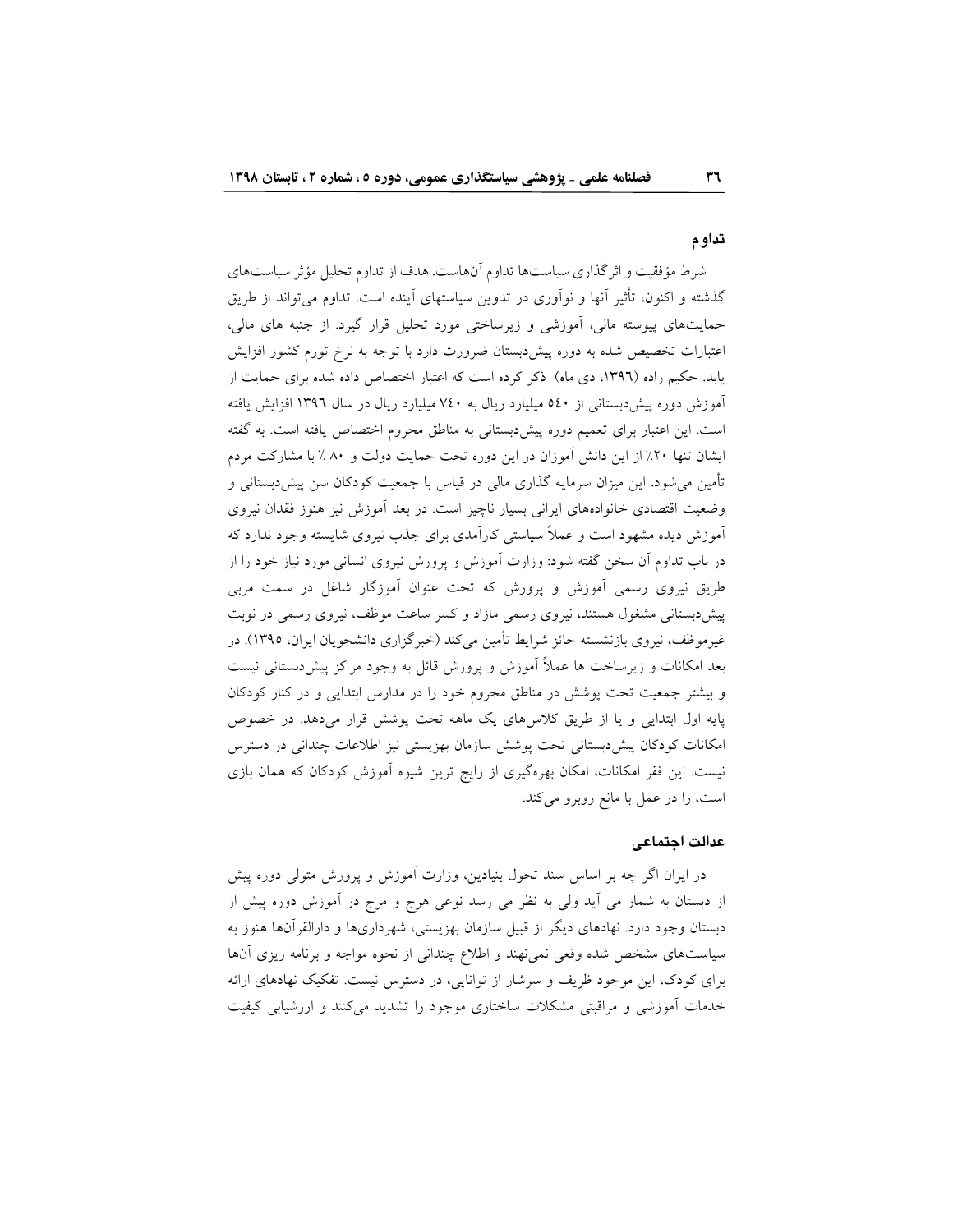### تداوم

شرط مؤفقیت و اثر گذاری سیاستها تداوم آنهاست. هدف از تداوم تحلیل مؤثر سیاستهای گذشته و اکنون، تأثیر آنها و نوآوری در تدوین سیاستهای آینده است. تداوم می تواند از طریق حمایتهای پیوسته مالی، آموزشی و زیرساختی مورد تحلیل قرار گیرد. از جنبه های مالی، اعتبارات تخصیص شده به دوره پیشدبستان ضرورت دارد با توجه به نرخ تورم کشور افزایش یابد. حکیم زاده (۱۳۹٦، دی ماه) ذکر کرده است که اعتبار اختصاص داده شده برای حمایت از آموزش دوره پیش دبستانی از ۵٤۰ میلیارد ریال به ۷٤۰ میلیارد ریال در سال ۱۳۹٦ افزایش یافته است. این اعتبار برای تعمیم دوره پیش دبستانی به مناطق محروم اختصاص یافته است. به گفته ایشان تنها ۲۰٪ از این دانش آموزان در این دوره تحت حمایت دولت و ۸۰٪ با مشارکت مردم تأمین می شود. این میزان سرمایه گذاری مالی در قیاس با جمعیت کودکان سن پیش،دبستانی و وضعیت اقتصادی خانوادههای ایرانی بسیار ناچیز است. در بعد آموزش نیز هنوز فقدان نیروی آموزش دیده مشهود است و عملاً سیاستی کارآمدی برای جذب نیروی شایسته وجود ندارد که در باب تداوم اّن سخن گفته شود: وزارت اَموزش و پرورش نیروی انسانی مورد نیاز خود را از طریق نیروی رسمی آموزش و پرورش که تحت عنوان آموزگار شاغل در سمت مربی پیش،دبستانی مشغول هستند، نیروی رسمی مازاد و کسر ساعت موظف، نیروی رسمی در نوبت غیرموظف، نیروی بازنشسته حائز شرایط تأمین می کند (خبر گزاری دانشجو یان ایران، ۱۳۹۵). در بعد امکانات و زیرساخت ها عملاً اَموزش و پرورش قائل به وجود مراکز پیشدبستانی نیست و بیشتر جمعیت تحت پوشش در مناطق محروم خود را در مدارس ابتدایی و در کنار کودکان یایه اول ابتدایی و یا از طریق کلاس های یک ماهه تحت یوشش قرار می دهد. در خصوص امکانات کودکان پیش دبستانی تحت پوشش سازمان بهزیستی نیز اطلاعات چندانی در دسترس نیست. این فقر امکانات، امکان بهرهگیری از رایج ترین شیوه آموزش کودکان که همان بازی است، را در عمل با مانع روبرو میکند.

## عدالت اجتماعي

در ایران اگر چه بر اساس سند تحول بنیادین، وزارت آموزش و پرورش متولی دوره پیش از دبستان به شمار می اَید ولی به نظر می رسد نوعی هرج و مرج در اَموزش دوره پیش از دبستان وجود دارد. نهادهای دیگر از قبیل سازمان بهزیستی، شهرداریها و دارالقرآنها هنوز به سیاستهای مشخص شده وقعی نمی نهند و اطلاع چندانی از نحوه مواجه و برنامه ریزی آنها برای کودک، این موجود ظریف و سرشار از توانایی، در دسترس نیست. تفکیک نهادهای ارائه خدمات اموزشی و مراقبتی مشکلات ساختاری موجود را تشدید میکنند و ارزشیابی کیفیت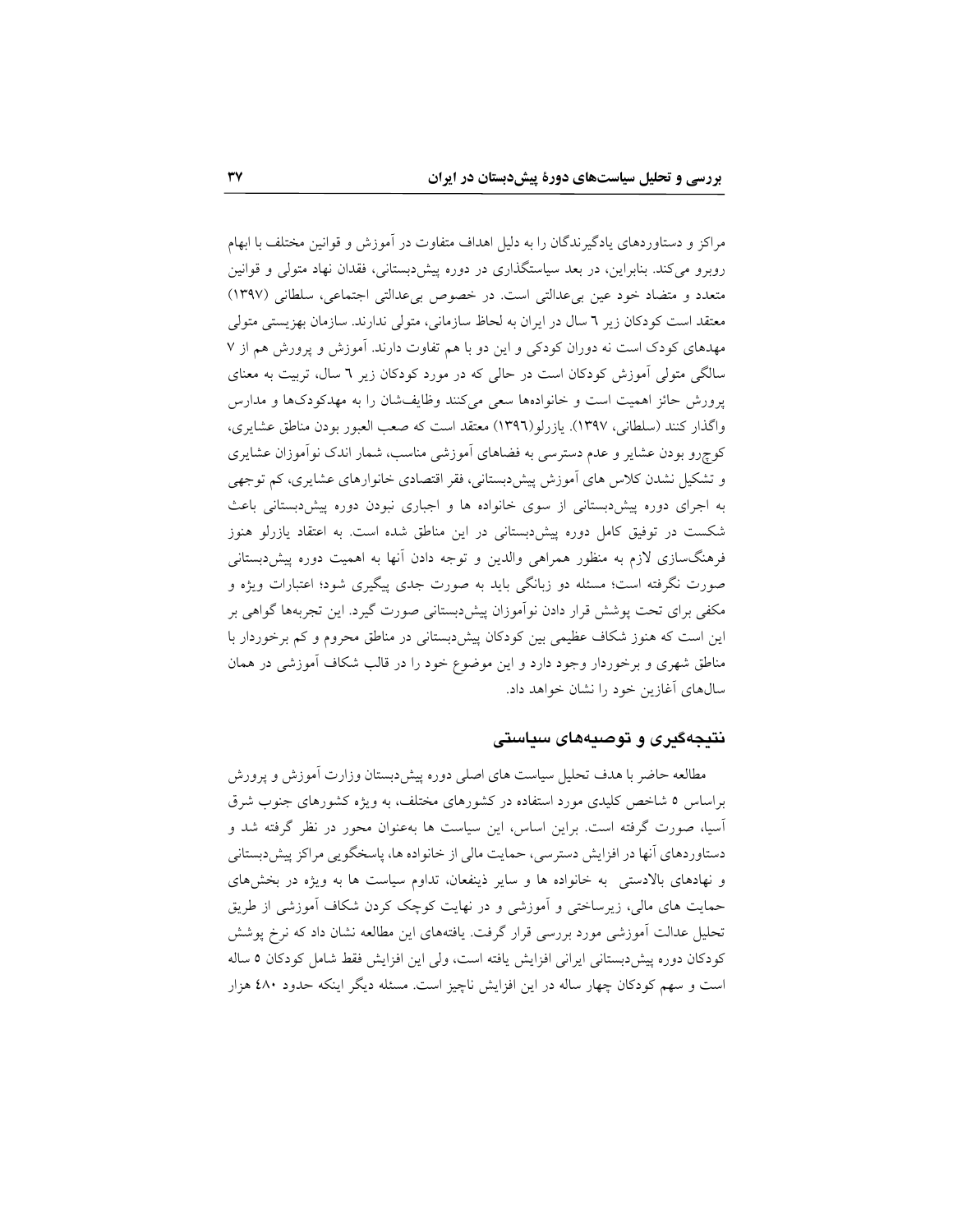مراکز و دستاوردهای یادگیرندگان را به دلیل اهداف متفاوت در آموزش و قوانین مختلف با ابهام روبرو می کند. بنابراین، در بعد سیاستگذاری در دوره پیشدبستانی، فقدان نهاد متولی و قوانین متعدد و متضاد خود عین بی عدالتی است. در خصوص بی عدالتی اجتماعی، سلطانی (۱۳۹۷) معتقد است کودکان زیر ٦ سال در ایران به لحاظ سازمانی، متولی ندارند. سازمان بهزیستی متولی مهدهای کودک است نه دوران کودکی و این دو با هم تفاوت دارند. آموزش و پرورش هم از ۷ سالگی متولی اَموزش کودکان است در حالی که در مورد کودکان زیر ٦ سال، تربیت به معنای پرورش حائز اهمیت است و خانوادهها سعی میکنند وظایفشان را به مهدکودکها و مدارس واگذار كنند (سلطاني، ١٣٩٧). يازرلو(١٣٩٦) معتقد است كه صعب العبور بودن مناطق عشايري، کوچرو بودن عشایر و عدم دسترسی به فضاهای آموزشی مناسب، شمار اندک نوآموزان عشایری و تشکیل نشدن کلاس های آموزش پیش،بستانی، فقر اقتصادی خانوارهای عشایری، کم توجهی به اجرای دوره پیش دبستانی از سوی خانواده ها و اجباری نبودن دوره پیش دبستانی باعث شکست در توفیق کامل دوره پیش دبستانی در این مناطق شده است. به اعتقاد یازرلو هنوز فرهنگسازی لازم به منظور همراهی والدین و توجه دادن آنها به اهمیت دوره پیش،بستانی صورت نگرفته است؛ مسئله دو زبانگی باید به صورت جدی پیگیری شود؛ اعتبارات ویژه و مکفی برای تحت پوشش قرار دادن نوآموزان پیشدبستانی صورت گیرد. این تجربهها گواهی بر این است که هنوز شکاف عظیمی بین کودکان پیشدبستانی در مناطق محروم و کم برخوردار با مناطق شهری و برخوردار وجود دارد و این موضوع خود را در قالب شکاف اَموزشی در همان سال های آغازین خود را نشان خواهد داد.

# نتیجهگیری و توصیههای سیاستی

مطالعه حاضر با هدف تحلیل سیاست های اصلی دوره پیش دبستان وزارت اموزش و پرورش براساس ۵ شاخص کلیدی مورد استفاده در کشورهای مختلف، به ویژه کشورهای جنوب شرق أسیا، صورت گرفته است. براین اساس، این سیاست ها بهعنوان محور در نظر گرفته شد و دستاوردهاي أنها در افزايش دسترسي، حمايت مالي از خانواده ها، پاسخگويي مراكز پيشدبستاني و نهادهای بالادستی به خانواده ها و سایر ذینفعان، تداوم سیاست ها به ویژه در بخشهای حمایت های مالی، زیرساختی و آموزشی و در نهایت کوچک کردن شکاف آموزشی از طریق تحلیل عدالت اَموزشی مورد بررسی قرار گرفت. یافتههای این مطالعه نشان داد که نرخ پوشش كودكان دوره پيش دبستاني ايراني افزايش يافته است، ولي اين افزايش فقط شامل كودكان ٥ ساله است و سهم کودکان چهار ساله در این افزایش ناچیز است. مسئله دیگر اینکه حدود ٤٨٠ هزار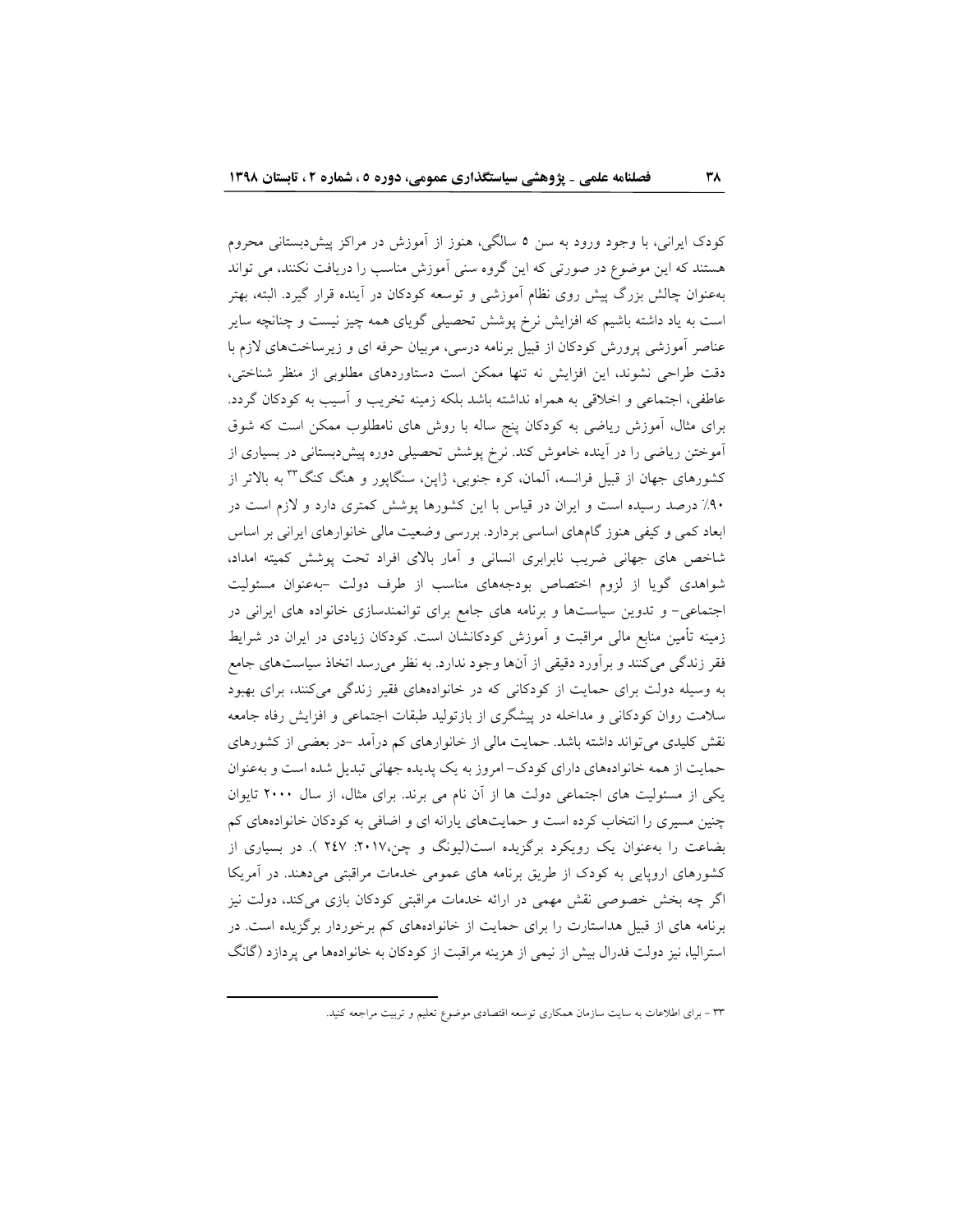کودک ایرانی، با وجود ورود به سن ٥ سالگی، هنوز از آموزش در مراکز پیش،بستانی محروم هستند که این موضوع در صورتی که این گروه سنی آموزش مناسب را دریافت نکنند، می تواند بهعنوان چالش بزرگ پیش روی نظام آموزشی و توسعه کودکان در آینده قرار گیرد. البته، بهتر است به یاد داشته باشیم که افزایش نرخ پوشش تحصیلی گویای همه چیز نیست و چنانچه سایر عناصر آموزشی پرورش کودکان از قبیل برنامه درسی، مربیان حرفه ای و زیرساختهای لازم با دقت طراحی نشوند، این افزایش نه تنها ممکن است دستاوردهای مطلوبی از منظر شناختی، عاطفي، اجتماعي و اخلاقي به همراه نداشته باشد بلكه زمينه تخريب و أسيب به كودكان گردد. برای مثال، اموزش ریاضی به کودکان پنج ساله با روش های نامطلوب ممکن است که شوق آموختن ریاضی را در اَینده خاموش کند. نرخ پوشش تحصیلی دوره پیشدبستانی در بسیاری از کشورهای جهان از قبیل فرانسه، آلمان، کره جنوبی، ژاپن، سنگاپور و هنگ کنگ™به بالاتر از ۹۰٪ درصد رسیده است و ایران در قیاس با این کشورها پوشش کمتری دارد و لازم است در ابعاد کمی و کیفی هنوز گامهای اساسی بردارد. بررسی وضعیت مالی خانوارهای ایرانی بر اساس شاخص های جهانی ضریب نابرابری انسانی و أمار بالای افراد تحت پوشش کمیته امداد، شواهدی گویا از لزوم اختصاص بودجههای مناسب از طرف دولت -بهعنوان مسئولیت اجتماعی- و تدوین سیاستها و برنامه های جامع برای توانمندسازی خانواده های ایرانی در زمینه تأمین منابع مالی مراقبت و آموزش کودکانشان است. کودکان زیادی در ایران در شرایط فقر زندگی میکنند و برآورد دقیقی از آنها وجود ندارد. به نظر میرسد اتخاذ سیاستهای جامع به وسیله دولت برای حمایت از کودکانی که در خانوادههای فقیر زندگی میکنند، برای بهبود سلامت روان کودکانی و مداخله در پیشگری از بازتولید طبقات اجتماعی و افزایش رفاه جامعه نقش کلیدی میتواند داشته باشد. حمایت مالی از خانوارهای کم درآمد –در بعضی از کشورهای حمایت از همه خانوادههای دارای کودک-امروز به یک پدیده جهانی تبدیل شده است و بهعنوان یکی از مسئولیت های اجتماعی دولت ها از آن نام می برند. برای مثال، از سال ۲۰۰۰ تایوان چنین مسیری را انتخاب کرده است و حمایتهای یارانه ای و اضافی به کودکان خانوادههای کم بضاعت را بهعنوان یک رویکرد برگزیده است(لیونگ و چن،۲۰۱۷: ۲٤۷ ). در بسیاری از کشورهای اروپایی به کودک از طریق برنامه های عمومی خدمات مراقبتی می دهند. در آمریکا اگر چه بخش خصوصی نقش مهمی در ارائه خدمات مراقبتی کودکان بازی میکند، دولت نیز برنامه های از قبیل هداستارت را برای حمایت از خانوادههای کم برخوردار برگزیده است. در استرالیا، نیز دولت فدرال بیش از نیمی از هزینه مراقبت از کودکان به خانوادهها می پردازد (گانگ

۳۳ – برای اطلاعات به سایت سازمان همکاری توسعه اقتصادی موضوع تعلیم و تربیت مراجعه کنید.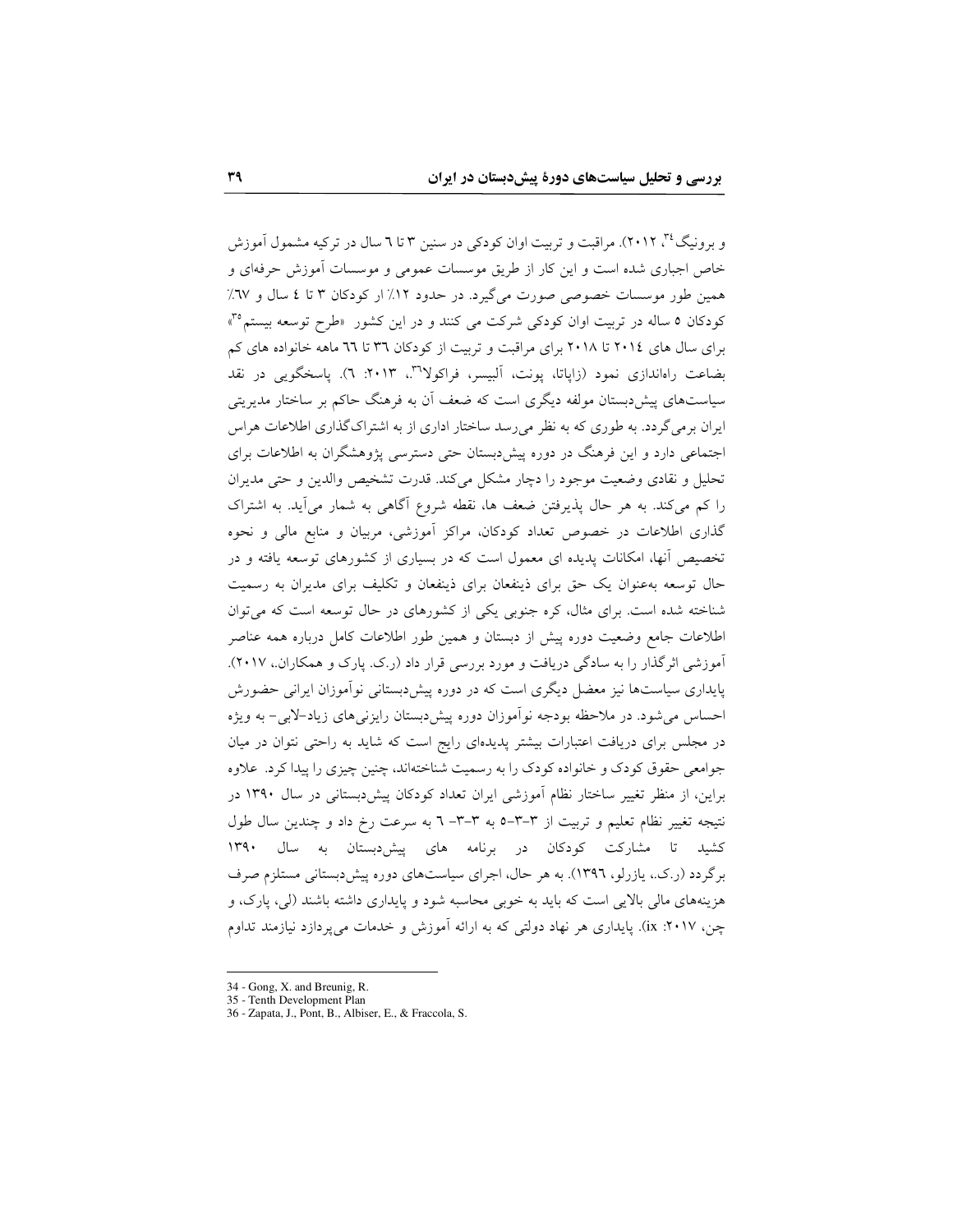و برونیگ ۳٬ ۲۰۱۲). مراقبت و تربیت اوان کودکی در سنین ۳ تا ٦ سال در ترکیه مشمول آموزش خاص اجباری شده است و این کار از طریق موسسات عمومی و موسسات آموزش حرفهای و همین طور موسسات خصوصی صورت میگیرد. در حدود ١٢٪ ار کودکان ٣ تا ٤ سال و ٦٧٪ کودکان ۵ ساله در تربیت اوان کودکی شرکت می کنند و در این کشور «طرح توسعه بیستم°"» برای سال های ٢٠١٤ تا ٢٠١٨ برای مراقبت و تربیت از کودکان ٣٦ تا ٦٦ ماهه خانواده های کم بضاعت راهاندازی نمود (زایاتا، یونت، آلبیسر، فراکولا"۲، ۲۰۱۳. ۲). یاسخگویی در نقد سیاستهای پیش دبستان مولفه دیگری است که ضعف آن به فرهنگ حاکم بر ساختار مدیریتی ایران برمیگردد. به طوری که به نظر میرسد ساختار اداری از به اشتراکگذاری اطلاعات هراس اجتماعی دارد و این فرهنگ در دوره پیشدبستان حتی دسترسی پژوهشگران به اطلاعات برای تحلیل و نقادی وضعیت موجود را دچار مشکل میکند. قدرت تشخیص والدین و حتی مدیران را کم میکند. به هر حال پذیرفتن ضعف ها، نقطه شروع آگاهی به شمار میآید. به اشتراک گذاری اطلاعات در خصوص تعداد کودکان، مراکز آموزشی، مربیان و منابع مالی و نحوه تخصیص آنها، امکانات پدیده ای معمول است که در بسیاری از کشورهای توسعه یافته و در حال توسعه بهعنوان یک حق برای ذینفعان برای ذینفعان و تکلیف برای مدیران به رسمیت شناخته شده است. برای مثال، کره جنوبی یکی از کشورهای در حال توسعه است که می توان اطلاعات جامع وضعیت دوره پیش از دبستان و همین طور اطلاعات کامل درباره همه عناصر آموزشی اثرگذار را به سادگی دریافت و مورد بررسی قرار داد (ر.ک. پارک و همکاران.، ۲۰۱۷). پایداری سیاستها نیز معضل دیگری است که در دوره پیشدبستانی نوآموزان ایرانی حضورش احساس می شود. در ملاحظه بودجه نواَموزان دوره پیشدبستان رایزنی های زیاد-لابی- به ویژه در مجلس برای دریافت اعتبارات بیشتر پدیدهای رایج است که شاید به راحتی نتوان در میان جوامعی حقوق کودک و خانواده کودک را به رسمیت شناختهاند، چنین چیزی را پیدا کرد. علاوه براین، از منظر تغییر ساختار نظام آموزشی ایران تعداد کودکان پیش دبستانی در سال ۱۳۹۰ در نتيجه تغيير نظام تعليم وتربيت از ٣-٣-٥ به ٣-٣- ٦ به سرعت رخ داد و چندين سال طول کشید تا مشارکت کودکان در برنامه های پیش دبستان به سال ۱۳۹۰ برگردد (ر.ک.، یازرلو، ۱۳۹٦). به هر حال، اجرای سیاستهای دوره پیشدبستانی مستلزم صرف هزینههای مالی بالایی است که باید به خوبی محاسبه شود و پایداری داشته باشند (لی، پارک، و چن، ۲۰۱۷: ix). پایداری هر نهاد دولتی که به ارائه آموزش و خدمات میپردازد نیازمند تداوم

34 - Gong, X. and Breunig, R.

<sup>35 -</sup> Tenth Development Plan

<sup>36 -</sup> Zapata, J., Pont, B., Albiser, E., & Fraccola, S.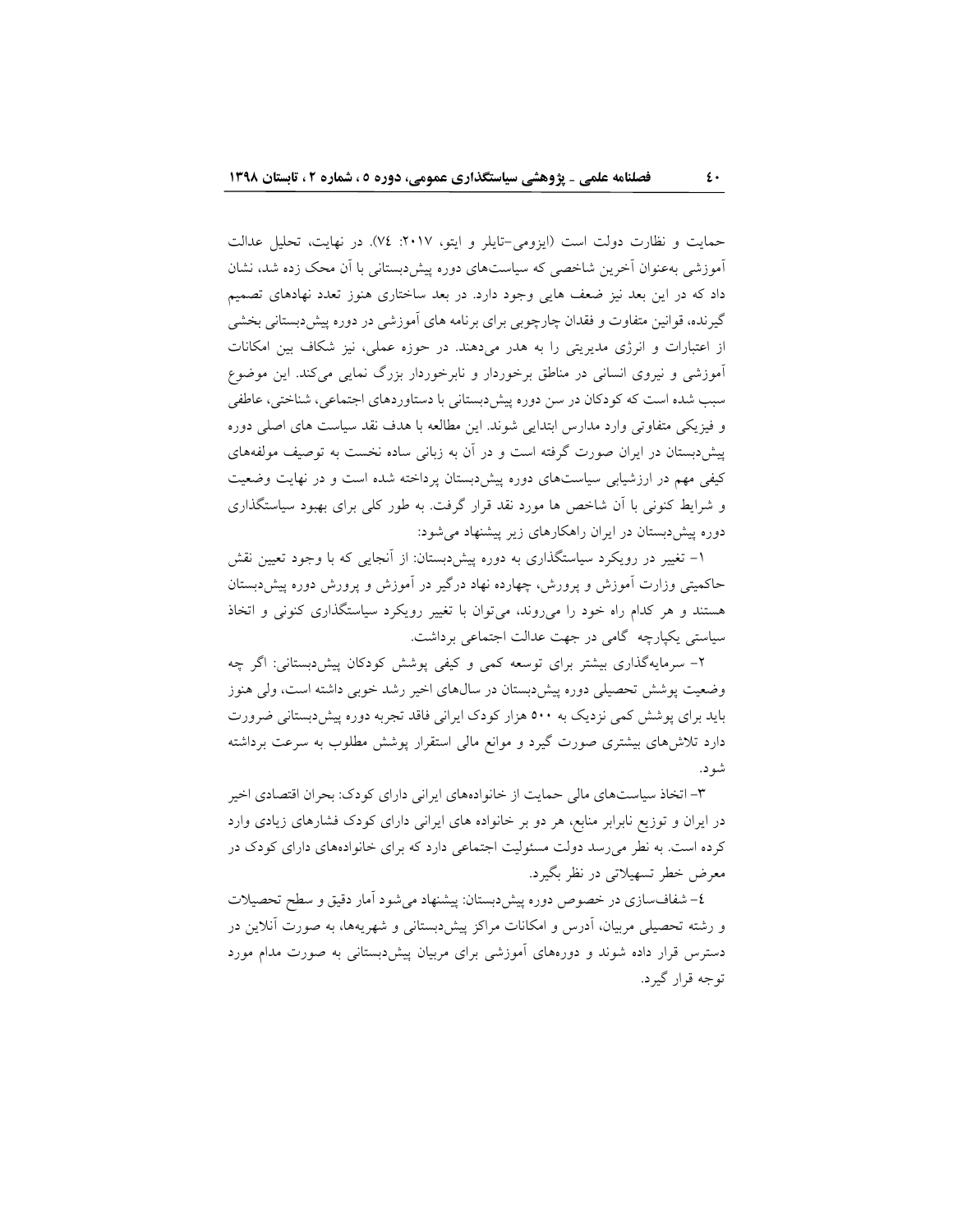حمایت و نظارت دولت است (ایزومی-تایلر و ایتو، ۲۰۱۷: ۷٤). در نهایت، تحلیل عدالت آموزشی بهعنوان آخرین شاخصی که سیاستهای دوره پیش دبستانی با آن محک زده شد، نشان داد که در این بعد نیز ضعف هایی وجود دارد. در بعد ساختاری هنوز تعدد نهادهای تصمیم گیرنده، قوانین متفاوت و فقدان چارچوبی برای برنامه های أموزشی در دوره پیشدبستانی بخشی از اعتبارات و انرژی مدیریتی را به هدر میدهند. در حوزه عملی، نیز شکاف بین امکانات آموزشی و نیروی انسانی در مناطق برخوردار و نابرخوردار بزرگ نمایی میکند. این موضوع سبب شده است که کودکان در سن دوره پیش دبستانی با دستاوردهای اجتماعی، شناختی، عاطفی و فیزیکی متفاوتی وارد مدارس ابتدایی شوند. این مطالعه با هدف نقد سیاست های اصلی دوره پیش دبستان در ایران صورت گرفته است و در آن به زبانی ساده نخست به توصیف مولفههای کیفی مهم در ارزشیابی سیاستهای دوره پیش دبستان پرداخته شده است و در نهایت وضعیت و شرایط کنونی با آن شاخص ها مورد نقد قرار گرفت. به طور کلی برای بهبود سیاستگذاری دوره پیش دبستان در ایران راهکارهای زیر پیشنهاد می شود:

۱– تغییر در رویکرد سیاستگذاری به دوره پیشدبستان: از آنجایی که با وجود تعیین نقش حاکمیتی وزارت آموزش و یرورش، چهارده نهاد درگیر در آموزش و یرورش دوره پیش،دبستان هستند و هر کدام راه خود را می روند، می توان با تغییر رویکرد سیاستگذاری کنونی و اتخاذ سیاستی یکپارچه گامی در جهت عدالت اجتماعی برداشت.

۲– سرمایهگذاری بیشتر برای توسعه کمی و کیفی پوشش کودکان پیش،بستانی: اگر چه وضعیت پوشش تحصیلی دوره پیشدبستان در سالهای اخیر رشد خوبی داشته است، ولی هنوز باید برای پوشش کمی نزدیک به ۵۰۰ هزار کودک ایرانی فاقد تجربه دوره پیشدبستانی ضرورت دارد تلاش های بیشتری صورت گیرد و موانع مالی استقرار پوشش مطلوب به سرعت برداشته شود.

۳- اتخاذ سیاستهای مالی حمایت از خانوادههای ایرانی دارای کودک: بحران اقتصادی اخیر در ایران و توزیع نابرابر منابع، هر دو بر خانواده های ایرانی دارای کودک فشارهای زیادی وارد کرده است. به نطر می رسد دولت مسئولیت اجتماعی دارد که برای خانوادههای دارای کودک در معرض خطر تسهیلاتی در نظر بگیرد.

٤– شفافسازی در خصوص دوره پیشدبستان: پیشنهاد میشود اَمار دقیق و سطح تحصیلات و رشته تحصیلی مربیان، آدرس و امکانات مراکز پیشدبستانی و شهریهها، به صورت آنلاین در دسترس قرار داده شوند و دورههای آموزشی برای مربیان پیش،بستانی به صورت مدام مورد توجه قرار گیرد.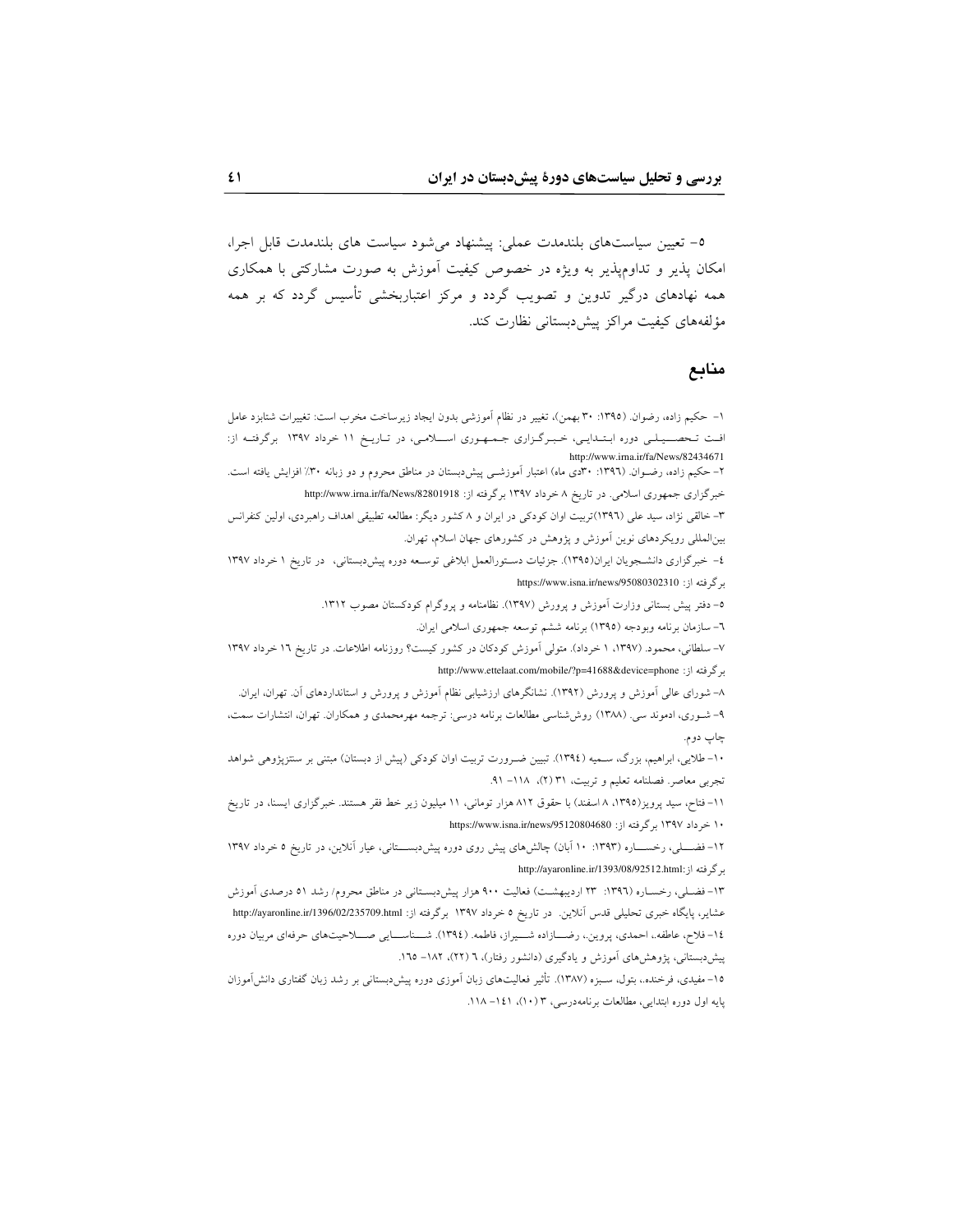٥- تعیین سیاستهای بلندمدت عملی: پیشنهاد می شود سیاست های بلندمدت قابل اجرا، امکان پذیر و تداومپذیر به ویژه در خصوص کیفیت آموزش به صورت مشارکتی با همکاری همه نهادهای درگیر تدوین و تصویب گردد و مرکز اعتباربخشی تأسیس گردد که بر همه مؤلفههای کیفیت مراکز پیش دبستانی نظارت کند.

### منابع

۱– حکیم زاده، رضوان. (۱۳۹۵: ۳۰ بهمن)، تغییر در نظام اَموزشی بدون ایجاد زیرساخت مخرب است: تغییرات شتابزد عامل افت تحصــيـلـى دوره ابـتـدايـى، خـبـرگـزارى جـمـهـورى اســـلامـى، در تـاريـخ ١١ خرداد ١٣٩٧ برگرفتـه از: http://www.irna.ir/fa/News/82434671 ۲– حکیم زاده، رضــوان. (۱۳۹٦: ۳۰دی ماه) اعتبار اَموزشــی پیش۱بستان در مناطق محروم و دو زبانه ۳۰٪ افزایش یافته است. خبرگزاری جمهوری اسلامی. در تاریخ ۸ خرداد ۱۳۹۷ برگرفته از: http://www.irna.ir/fa/News/82801918 ۳- خالقی نژاد، سید علی (۱۳۹٦)تربیت اوان کودکی در ایران و ۸ کشور دیگر: مطالعه تطبیقی اهداف راهبردی، اولین کنفرانس

بینالمللی رویکردهای نوین آموزش و پژوهش در کشورهای جهان اسلام، تهران.

٤- خبرگزاری دانشــجویان ایران(١٣٩٥). جزئیات دســتورالعمل ابلاغی توســعه دوره پیش٥دبستانی، در تاریخ ١ خرداد ١٣٩٧ بر گرفته از: https://www.isna.ir/news/95080302310

۵– دفتر پیش بستانی وزارت اَموزش و پرورش (۱۳۹۷). نظامنامه و پروگرام کودکستان مصوب ۱۳۱۲.

٦- سازمان برنامه وبودجه (١٣٩٥) برنامه ششم توسعه جمهورى اسلامى ايران.

۷– سلطانی، محمود. (۱۳۹۷، ۱ خرداد). متولی اَموزش کودکان در کشور کیست؟ روزنامه اطلاعات. در تاریخ ۱۲ خرداد ۱۳۹۷ بركرفته از: http://www.ettelaat.com/mobile/?p=41688&device=phone

۸– شورای عالی آموزش و پرورش (۱۳۹۲). نشانگرهای ارزشیابی نظام آموزش و پرورش و استانداردهای آن. تهران، ایران.

۹- شـوری، ادموند سی. (۱۳۸۸) روش،شناسی مطالعات برنامه درسی: ترجمه مهرمحمدی و همکاران. تهران، انتشارات سمت، چاپ دوم.

۱۰– طلایی، ابراهیم، بزرگ، سـمیه (١٣٩٤). تبیین ضـرورت تربیت اوان کودکی (پیش از دبستان) مبتنی بر سنتزیژوهی شواهد تجربی معاصر. فصلنامه تعلیم و تربیت، ۳۱ (۲)، ۱۱۸- ۹۱.

۱۱– فتاح، سید پرویز(۱۳۹۵، ۸ اسفند) با حقوق ۸۱۲ هزار تومانی، ۱۱ میلیون زیر خط فقر هستند. خبرگزاری ایسنا، در تاریخ ۱۰ خر داد ۱۳۹۷ برگرفته از: https://www.isna.ir/news/95120804680

۱۲- فضــــلی، رخســــاره (۱۳۹۳: ۱۰ آبان) چالش۱مای پیش روی دوره پیشدبســــتانی، عیار آنلاین، در تاریخ ۵ خرداد ۱۳۹۷ بر گرفته از:http://ayaronline.ir/1393/08/92512.html

۱۳- فضـلـی، رخسـاره (۱۳۹٦: ۲۳ اردیبهشـت) فعالیت ۹۰۰ هزار پیش،دبسـتانی در مناطق محروم/ رشد ۵۱ درصدی آموزش عشایر، پایگاه خبری تحلیلی قدس آنلاین. در تاریخ ۵ خرداد ۱۳۹۷ برگرفته از: http://ayaronline.ir/1396/02/235709.html ١٤-فلاح، عاطفه.، احمدي، يروين.، رضـــازاده شــــيراز، فاطمه. (١٣٩٤). شـــناســــايي صــــلاحيتهاي حرفهاي مربيان دوره پیش دبستانی، پژوهش های آموزش و یادگیری (دانشور رفتار)، ٦ (٢٢)، ١٨٢- ١٦٥.

۱۵– مفیدی، فرخنده.، بتول، سـبزه (۱۳۸۷). تأثیر فعالیتهای زبان آموزی دوره پیش‹بستانی بر رشد زبان گفتاری دانشآموزان پایه اول دوره ابتدایی، مطالعات برنامهدرسی، ۳ (۱۰)، ۱٤۱– ۱۱۸.